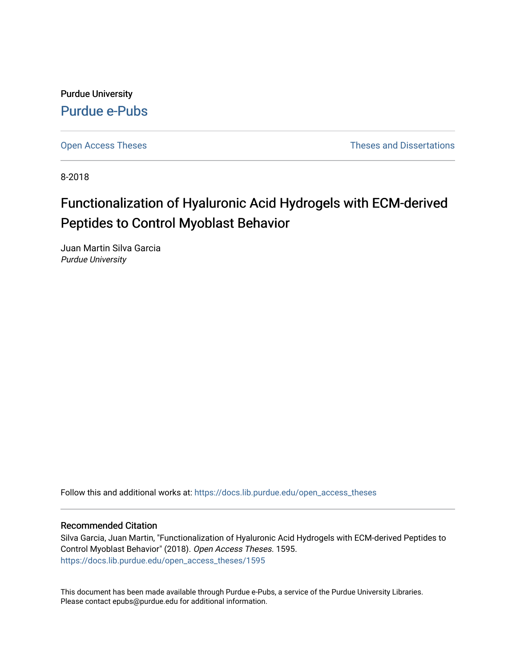Purdue University [Purdue e-Pubs](https://docs.lib.purdue.edu/)

[Open Access Theses](https://docs.lib.purdue.edu/open_access_theses) **Theses Theses Theses** and Dissertations

8-2018

# Functionalization of Hyaluronic Acid Hydrogels with ECM-derived Peptides to Control Myoblast Behavior

Juan Martin Silva Garcia Purdue University

Follow this and additional works at: [https://docs.lib.purdue.edu/open\\_access\\_theses](https://docs.lib.purdue.edu/open_access_theses?utm_source=docs.lib.purdue.edu%2Fopen_access_theses%2F1595&utm_medium=PDF&utm_campaign=PDFCoverPages) 

### Recommended Citation

Silva Garcia, Juan Martin, "Functionalization of Hyaluronic Acid Hydrogels with ECM-derived Peptides to Control Myoblast Behavior" (2018). Open Access Theses. 1595. [https://docs.lib.purdue.edu/open\\_access\\_theses/1595](https://docs.lib.purdue.edu/open_access_theses/1595?utm_source=docs.lib.purdue.edu%2Fopen_access_theses%2F1595&utm_medium=PDF&utm_campaign=PDFCoverPages) 

This document has been made available through Purdue e-Pubs, a service of the Purdue University Libraries. Please contact epubs@purdue.edu for additional information.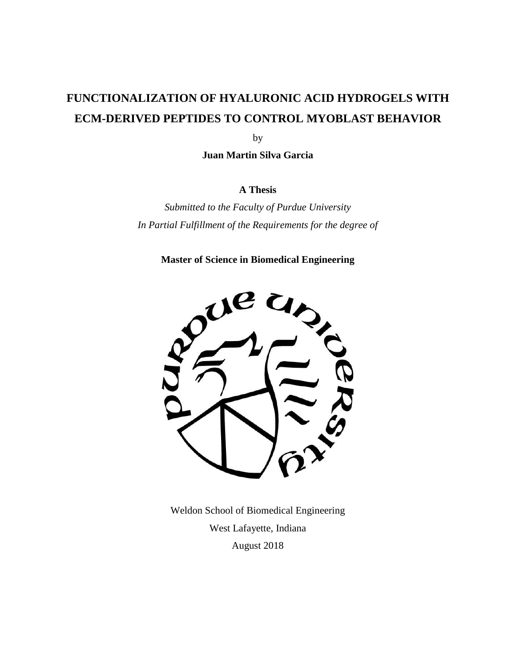# **FUNCTIONALIZATION OF HYALURONIC ACID HYDROGELS WITH ECM-DERIVED PEPTIDES TO CONTROL MYOBLAST BEHAVIOR**

by

**Juan Martin Silva Garcia**

### **A Thesis**

*Submitted to the Faculty of Purdue University In Partial Fulfillment of the Requirements for the degree of*

**Master of Science in Biomedical Engineering**



Weldon School of Biomedical Engineering West Lafayette, Indiana August 2018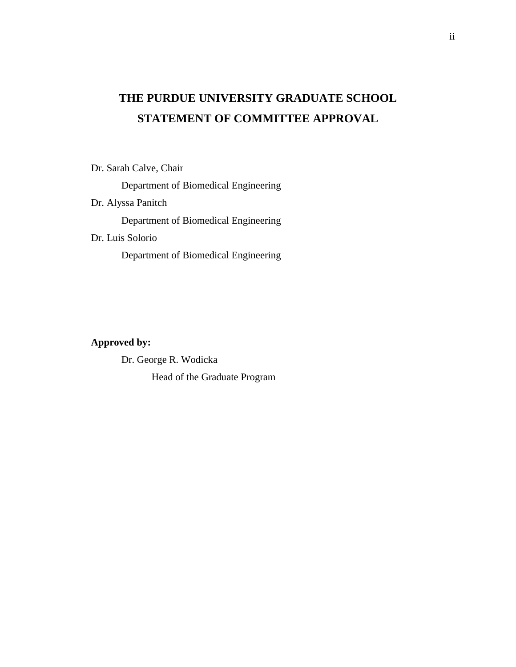# **THE PURDUE UNIVERSITY GRADUATE SCHOOL STATEMENT OF COMMITTEE APPROVAL**

Dr. Sarah Calve, Chair

Department of Biomedical Engineering

Dr. Alyssa Panitch

Department of Biomedical Engineering

Dr. Luis Solorio

Department of Biomedical Engineering

### **Approved by:**

Dr. George R. Wodicka Head of the Graduate Program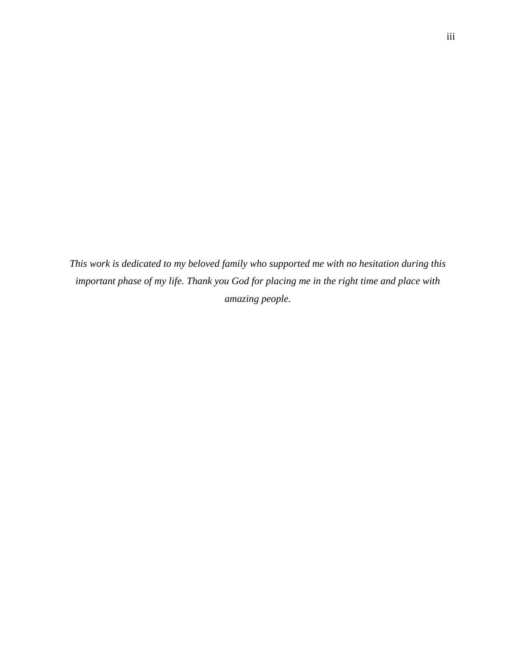*This work is dedicated to my beloved family who supported me with no hesitation during this important phase of my life. Thank you God for placing me in the right time and place with amazing people.*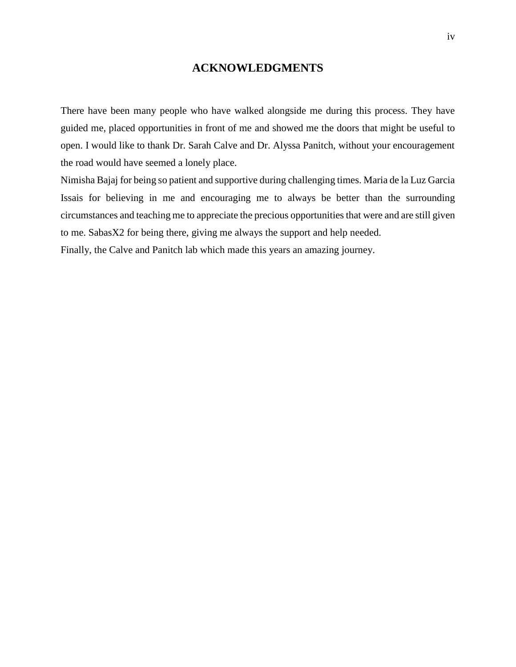### **ACKNOWLEDGMENTS**

There have been many people who have walked alongside me during this process. They have guided me, placed opportunities in front of me and showed me the doors that might be useful to open. I would like to thank Dr. Sarah Calve and Dr. Alyssa Panitch, without your encouragement the road would have seemed a lonely place.

Nimisha Bajaj for being so patient and supportive during challenging times. Maria de la Luz Garcia Issais for believing in me and encouraging me to always be better than the surrounding circumstances and teaching me to appreciate the precious opportunities that were and are still given to me. SabasX2 for being there, giving me always the support and help needed.

Finally, the Calve and Panitch lab which made this years an amazing journey.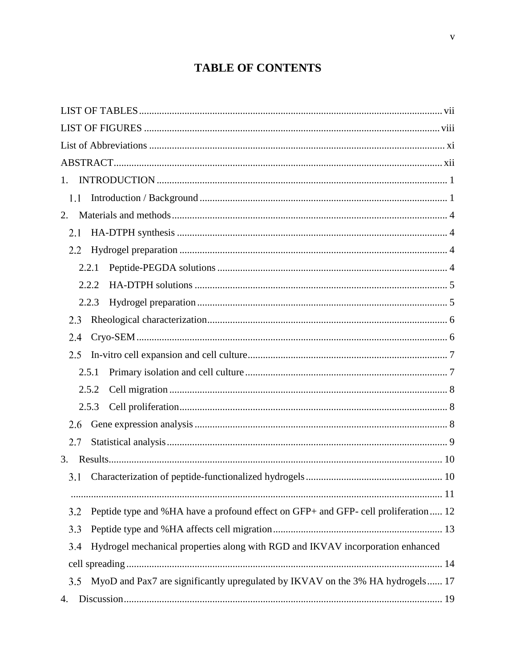# **TABLE OF CONTENTS**

| 1.                                                                                        |  |
|-------------------------------------------------------------------------------------------|--|
| 1.1                                                                                       |  |
| 2.                                                                                        |  |
| 2.1                                                                                       |  |
| 2.2                                                                                       |  |
| 2.2.1                                                                                     |  |
| 2.2.2                                                                                     |  |
| 2.2.3                                                                                     |  |
| 2.3                                                                                       |  |
| 2.4                                                                                       |  |
| 2.5                                                                                       |  |
| 2.5.1                                                                                     |  |
| 2.5.2                                                                                     |  |
| 2.5.3                                                                                     |  |
| 2.6                                                                                       |  |
| 2.7                                                                                       |  |
| 3.                                                                                        |  |
| 3.1                                                                                       |  |
|                                                                                           |  |
| Peptide type and %HA have a profound effect on GFP+ and GFP- cell proliferation 12<br>3.2 |  |
| 3.3                                                                                       |  |
| Hydrogel mechanical properties along with RGD and IKVAV incorporation enhanced<br>3.4     |  |
|                                                                                           |  |
| MyoD and Pax7 are significantly upregulated by IKVAV on the 3% HA hydrogels 17<br>3.5     |  |
| 4.                                                                                        |  |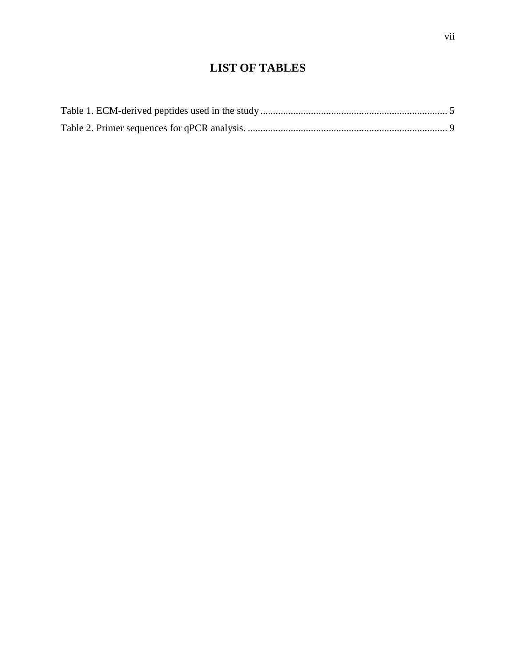## **LIST OF TABLES**

<span id="page-7-0"></span>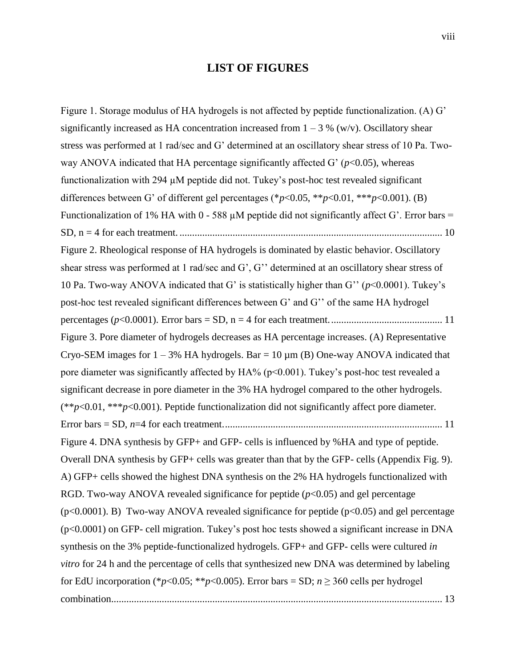### **LIST OF FIGURES**

<span id="page-8-0"></span>[Figure 1. Storage modulus of HA hydrogels is not affected by peptide functionalization. \(A\) G'](#page-22-2)  significantly increased as HA concentration increased from  $1 - 3$  % (w/v). Oscillatory shear stress [was performed at 1 rad/sec and G' determined at an oscillatory shear stress of 10 Pa. Two](#page-22-2)way ANOVA indicated that HA percentage significantly affected G'  $(p<0.05)$ , whereas [functionalization with 294 µM peptide did not. Tukey's post-hoc test revealed significant](#page-22-2)  [differences between G' of different gel percentages \(\\*](#page-22-2)*p*<0.05, \*\**p*<0.01, \*\*\**p*<0.001). (B) Functionalization of 1% HA with 0 - 588  $\mu$ M peptide did not significantly affect G'. Error bars = SD, n = 4 for each treatment. [........................................................................................................](#page-22-2) 10 [Figure 2. Rheological response of HA hydrogels is dominated by elastic behavior. Oscillatory](#page-23-1)  [shear stress was performed at 1 rad/sec and G', G'' determined at](#page-23-1) an oscillatory shear stress of [10 Pa. Two-way ANOVA indicated that G' is statistically higher than G'' \(](#page-23-1)*p*<0.0001). Tukey's [post-hoc test revealed significant differences between G' and G'' of the same HA hydrogel](#page-23-1)  percentages (*p*<0.0001). Error bars = SD, n [= 4 for each treatment.............................................](#page-23-1) 11 [Figure 3. Pore diameter of hydrogels decreases as HA percentage increases. \(A\) Representative](#page-23-2)  Cryo-SEM images for  $1 - 3\%$  HA hydrogels. Bar = 10  $\mu$ m (B) One-way ANOVA indicated that pore diameter was significantly affected by  $HA%$  ( $p<0.001$ ). Tukey's post-hoc test revealed a [significant decrease in pore diameter in the 3% HA hydrogel compared to the other hydrogels.](#page-23-2)  (\*\**p*<0.01, \*\*\**p*[<0.001\). Peptide functionalization did not significantly affect pore diameter.](#page-23-2)  Error bars = SD, *n*[=4 for each treatment.......................................................................................](#page-23-2) 11 Figure 4. DNA synthesis by GFP+ and GFP- [cells is influenced by %HA and type of peptide.](#page-25-1)  [Overall DNA synthesis by GFP+ cells was greater than that by the GFP-](#page-25-1) cells (Appendix Fig. 9). [A\) GFP+ cells showed the highest DNA synthesis on the 2% HA hydrogels functionalized with](#page-25-1)  RGD. Two-way ANOVA revealed significance for peptide  $(p<0.05)$  and gel percentage ( $p<0.0001$ ). B) Two-way ANOVA revealed significance for peptide ( $p<0.05$ ) and gel percentage (p<0.0001) on GFP- cell migration. [Tukey's post hoc tests showed a significant increase in DNA](#page-25-1)  [synthesis on the 3% peptide-functionalized hydrogels. GFP+ and GFP-](#page-25-1) cells were cultured *in vitro* [for 24 h and the percentage of cells that synthesized new DNA was determined by labeling](#page-25-1)  for EdU incorporation (\* $p$ <0.05; \*\* $p$ [<0.005\). Error bars = SD;](#page-25-1)  $n \ge 360$  cells per hydrogel [combination...................................................................................................................................](#page-25-1) 13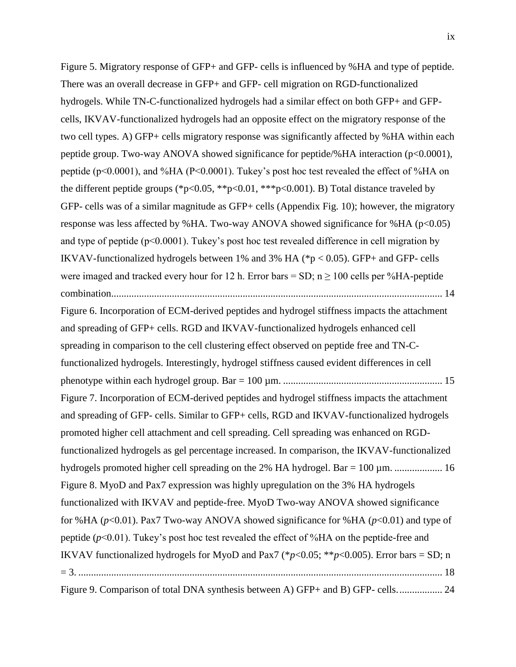[Figure 5. Migratory response of GFP+ and GFP-](#page-26-1) cells is influenced by %HA and type of peptide. [There was an overall decrease in GFP+ and GFP-](#page-26-1) cell migration on RGD-functionalized [hydrogels. While TN-C-functionalized hydrogels had a similar effect on both GFP+ and GFP](#page-26-1)[cells, IKVAV-functionalized hydrogels had an opposite effect on the migratory response of the](#page-26-1)  [two cell types. A\) GFP+ cells migratory response was significantly affected by %HA within each](#page-26-1)  [peptide group. Two-way ANOVA showed significance for peptide/%HA interaction \(p<0.0001\),](#page-26-1)  [peptide \(p<0.0001\), and %HA \(P<0.0001\). Tukey's post hoc test revealed the effect of %HA on](#page-26-1)  the different peptide groups (\*p<0.05, \*\*p<0.01, \*\*\*p<0.001). B) Total distance traveled by GFP- [cells was of a similar magnitude as GFP+ cells \(Appendix Fig. 10\); however, the migratory](#page-26-1)  response was less affected by %HA. Two-way ANOVA showed significance for %HA ( $p<0.05$ ) and type of peptide ( $p<0.0001$ ). Tukey's post hoc test revealed difference in cell migration by IKVAV-functionalized hydrogels between 1% and 3% HA ( $p < 0.05$ ). GFP+ and GFP- cells were imaged and tracked every hour for 12 h. Error bars =  $SD$ ; n  $\geq$  100 cells per %HA-peptide [combination...................................................................................................................................](#page-26-1) 14

[Figure 6. Incorporation of ECM-derived peptides and hydrogel stiffness impacts the attachment](#page-27-0)  [and spreading of GFP+ cells. RGD and IKVAV-functionalized hydrogels enhanced cell](#page-27-0)  [spreading in comparison to the cell clustering effect observed on peptide free and TN-C](#page-27-0)[functionalized hydrogels. Interestingly, hydrogel stiffness caused evident differences in cell](#page-27-0)  [phenotype within each hydrogel group. Bar = 100 µm.](#page-27-0) ............................................................... 15 [Figure 7. Incorporation of ECM-derived peptides and hydrogel stiffness impacts the attachment](#page-28-0)  and spreading of GFP- [cells. Similar to GFP+ cells, RGD and IKVAV-functionalized hydrogels](#page-28-0)  promoted higher cell attachment [and cell spreading. Cell spreading was enhanced on RGD](#page-28-0)[functionalized hydrogels as gel percentage increased. In comparison, the IKVAV-functionalized](#page-28-0)  [hydrogels promoted higher cell spreading on the 2% HA hydrogel. Bar = 100 µm.](#page-28-0) ..................... 16 [Figure 8. MyoD and Pax7 expression was highly upregulation on the 3% HA hydrogels](#page-30-0)  [functionalized with IKVAV and peptide-free. MyoD Two-way ANOVA showed significance](#page-30-0)  for %HA (*p*[<0.01\). Pax7 Two-way ANOVA showed significance for %HA \(](#page-30-0)*p*<0.01) and type of peptide (*p*[<0.01\). Tukey's post hoc test revealed the effect of %HA on the peptide-free and](#page-30-0)  IKVAV functionalized hydrogels for MyoD and Pax7 ( $p$ <0.05; \*\* $p$ <0.005). Error bars = SD; n = 3. [................................................................................................................................................](#page-30-0) 18 [Figure 9. Comparison of total DNA synthesis between A\) GFP+ and B\) GFP-](#page-36-0) cells.................. 24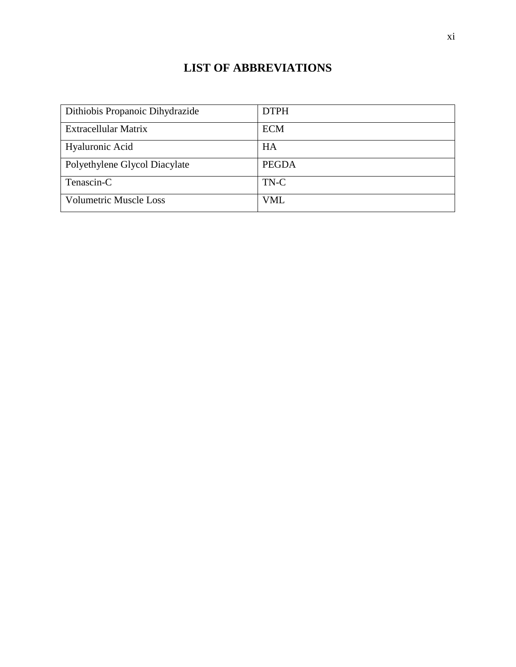## **LIST OF ABBREVIATIONS**

<span id="page-11-0"></span>

| Dithiobis Propanoic Dihydrazide | <b>DTPH</b>  |
|---------------------------------|--------------|
| Extracellular Matrix            | <b>ECM</b>   |
| Hyaluronic Acid                 | HA           |
| Polyethylene Glycol Diacylate   | <b>PEGDA</b> |
| Tenascin-C                      | TN-C         |
| <b>Volumetric Muscle Loss</b>   | <b>VML</b>   |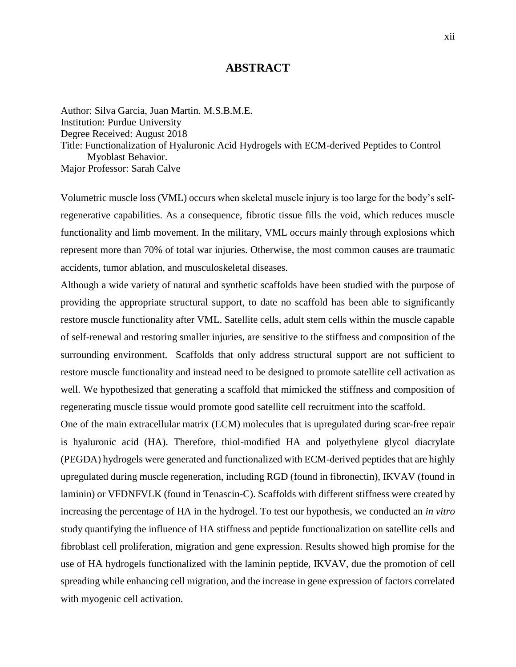### **ABSTRACT**

<span id="page-12-0"></span>Author: Silva Garcia, Juan Martin. M.S.B.M.E. Institution: Purdue University Degree Received: August 2018 Title: Functionalization of Hyaluronic Acid Hydrogels with ECM-derived Peptides to Control Myoblast Behavior. Major Professor: Sarah Calve

Volumetric muscle loss (VML) occurs when skeletal muscle injury is too large for the body's selfregenerative capabilities. As a consequence, fibrotic tissue fills the void, which reduces muscle functionality and limb movement. In the military, VML occurs mainly through explosions which represent more than 70% of total war injuries. Otherwise, the most common causes are traumatic accidents, tumor ablation, and musculoskeletal diseases.

Although a wide variety of natural and synthetic scaffolds have been studied with the purpose of providing the appropriate structural support, to date no scaffold has been able to significantly restore muscle functionality after VML. Satellite cells, adult stem cells within the muscle capable of self-renewal and restoring smaller injuries, are sensitive to the stiffness and composition of the surrounding environment. Scaffolds that only address structural support are not sufficient to restore muscle functionality and instead need to be designed to promote satellite cell activation as well. We hypothesized that generating a scaffold that mimicked the stiffness and composition of regenerating muscle tissue would promote good satellite cell recruitment into the scaffold.

One of the main extracellular matrix (ECM) molecules that is upregulated during scar-free repair is hyaluronic acid (HA). Therefore, thiol-modified HA and polyethylene glycol diacrylate (PEGDA) hydrogels were generated and functionalized with ECM-derived peptides that are highly upregulated during muscle regeneration, including RGD (found in fibronectin), IKVAV (found in laminin) or VFDNFVLK (found in Tenascin-C). Scaffolds with different stiffness were created by increasing the percentage of HA in the hydrogel. To test our hypothesis, we conducted an *in vitro* study quantifying the influence of HA stiffness and peptide functionalization on satellite cells and fibroblast cell proliferation, migration and gene expression. Results showed high promise for the use of HA hydrogels functionalized with the laminin peptide, IKVAV, due the promotion of cell spreading while enhancing cell migration, and the increase in gene expression of factors correlated with myogenic cell activation.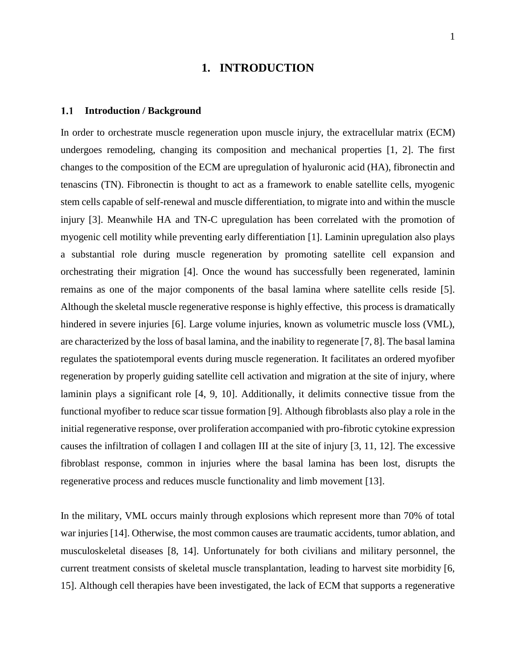### **1. INTRODUCTION**

#### <span id="page-13-1"></span><span id="page-13-0"></span> $1.1$ **Introduction / Background**

In order to orchestrate muscle regeneration upon muscle injury, the extracellular matrix (ECM) undergoes remodeling, changing its composition and mechanical properties [1, 2]. The first changes to the composition of the ECM are upregulation of hyaluronic acid (HA), fibronectin and tenascins (TN). Fibronectin is thought to act as a framework to enable satellite cells, myogenic stem cells capable of self-renewal and muscle differentiation, to migrate into and within the muscle injury [3]. Meanwhile HA and TN-C upregulation has been correlated with the promotion of myogenic cell motility while preventing early differentiation [1]. Laminin upregulation also plays a substantial role during muscle regeneration by promoting satellite cell expansion and orchestrating their migration [4]. Once the wound has successfully been regenerated, laminin remains as one of the major components of the basal lamina where satellite cells reside [5]. Although the skeletal muscle regenerative response is highly effective, this process is dramatically hindered in severe injuries [6]. Large volume injuries, known as volumetric muscle loss (VML), are characterized by the loss of basal lamina, and the inability to regenerate [7, 8]. The basal lamina regulates the spatiotemporal events during muscle regeneration. It facilitates an ordered myofiber regeneration by properly guiding satellite cell activation and migration at the site of injury, where laminin plays a significant role [4, 9, 10]. Additionally, it delimits connective tissue from the functional myofiber to reduce scar tissue formation [9]. Although fibroblasts also play a role in the initial regenerative response, over proliferation accompanied with pro-fibrotic cytokine expression causes the infiltration of collagen I and collagen III at the site of injury [3, 11, 12]. The excessive fibroblast response, common in injuries where the basal lamina has been lost, disrupts the regenerative process and reduces muscle functionality and limb movement [13].

In the military, VML occurs mainly through explosions which represent more than 70% of total war injuries [14]. Otherwise, the most common causes are traumatic accidents, tumor ablation, and musculoskeletal diseases [8, 14]. Unfortunately for both civilians and military personnel, the current treatment consists of skeletal muscle transplantation, leading to harvest site morbidity [6, 15]. Although cell therapies have been investigated, the lack of ECM that supports a regenerative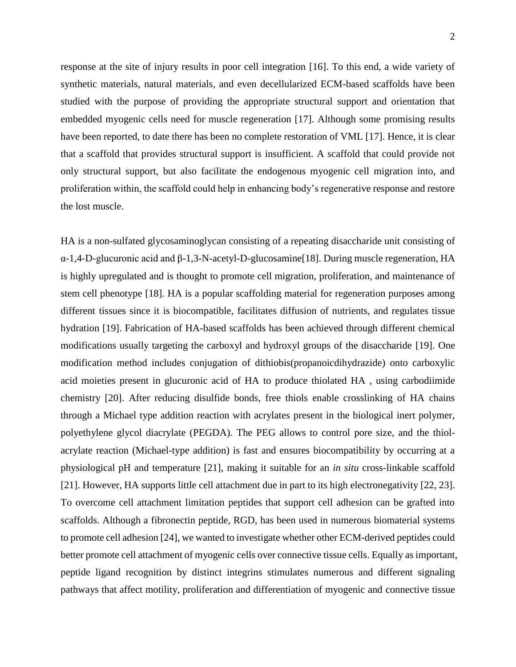response at the site of injury results in poor cell integration [16]. To this end, a wide variety of synthetic materials, natural materials, and even decellularized ECM-based scaffolds have been studied with the purpose of providing the appropriate structural support and orientation that embedded myogenic cells need for muscle regeneration [17]. Although some promising results have been reported, to date there has been no complete restoration of VML [17]. Hence, it is clear that a scaffold that provides structural support is insufficient. A scaffold that could provide not only structural support, but also facilitate the endogenous myogenic cell migration into, and proliferation within, the scaffold could help in enhancing body's regenerative response and restore the lost muscle.

HA is a non-sulfated glycosaminoglycan consisting of a repeating disaccharide unit consisting of α-1,4-D-glucuronic acid and β-1,3-N-acetyl-D-glucosamine[18]. During muscle regeneration, HA is highly upregulated and is thought to promote cell migration, proliferation, and maintenance of stem cell phenotype [18]. HA is a popular scaffolding material for regeneration purposes among different tissues since it is biocompatible, facilitates diffusion of nutrients, and regulates tissue hydration [19]. Fabrication of HA-based scaffolds has been achieved through different chemical modifications usually targeting the carboxyl and hydroxyl groups of the disaccharide [19]. One modification method includes conjugation of dithiobis(propanoicdihydrazide) onto carboxylic acid moieties present in glucuronic acid of HA to produce thiolated HA , using carbodiimide chemistry [20]. After reducing disulfide bonds, free thiols enable crosslinking of HA chains through a Michael type addition reaction with acrylates present in the biological inert polymer, polyethylene glycol diacrylate (PEGDA). The PEG allows to control pore size, and the thiolacrylate reaction (Michael-type addition) is fast and ensures biocompatibility by occurring at a physiological pH and temperature [21], making it suitable for an *in situ* cross-linkable scaffold [21]. However, HA supports little cell attachment due in part to its high electronegativity [22, 23]. To overcome cell attachment limitation peptides that support cell adhesion can be grafted into scaffolds. Although a fibronectin peptide, RGD, has been used in numerous biomaterial systems to promote cell adhesion [24], we wanted to investigate whether other ECM-derived peptides could better promote cell attachment of myogenic cells over connective tissue cells. Equally as important, peptide ligand recognition by distinct integrins stimulates numerous and different signaling pathways that affect motility, proliferation and differentiation of myogenic and connective tissue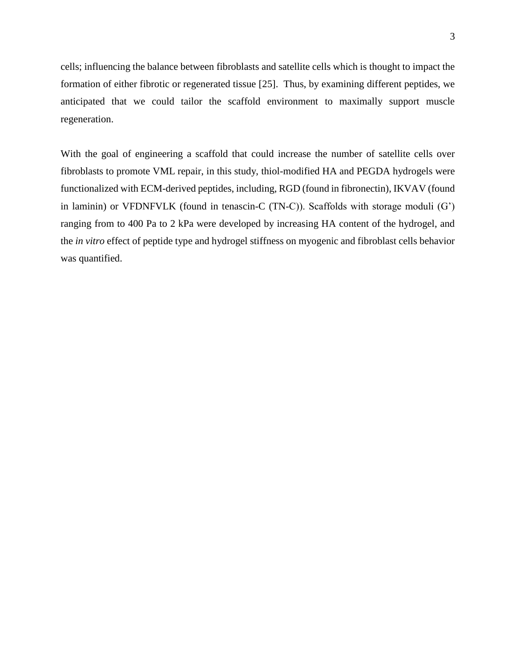cells; influencing the balance between fibroblasts and satellite cells which is thought to impact the formation of either fibrotic or regenerated tissue [25]. Thus, by examining different peptides, we anticipated that we could tailor the scaffold environment to maximally support muscle regeneration.

With the goal of engineering a scaffold that could increase the number of satellite cells over fibroblasts to promote VML repair, in this study, thiol-modified HA and PEGDA hydrogels were functionalized with ECM-derived peptides, including, RGD (found in fibronectin), IKVAV (found in laminin) or VFDNFVLK (found in tenascin-C (TN-C)). Scaffolds with storage moduli (G') ranging from to 400 Pa to 2 kPa were developed by increasing HA content of the hydrogel, and the *in vitro* effect of peptide type and hydrogel stiffness on myogenic and fibroblast cells behavior was quantified.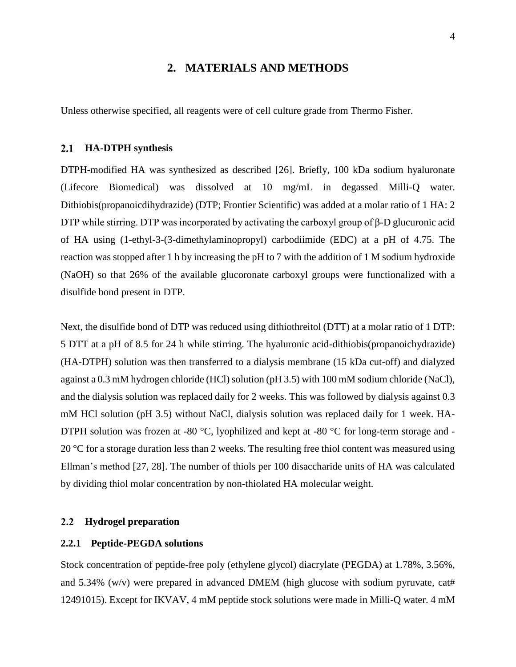### **2. MATERIALS AND METHODS**

<span id="page-16-1"></span><span id="page-16-0"></span>Unless otherwise specified, all reagents were of cell culture grade from Thermo Fisher.

#### $2.1$ **HA-DTPH synthesis**

DTPH-modified HA was synthesized as described [26]. Briefly, 100 kDa sodium hyaluronate (Lifecore Biomedical) was dissolved at 10 mg/mL in degassed Milli-Q water. Dithiobis(propanoicdihydrazide) (DTP; Frontier Scientific) was added at a molar ratio of 1 HA: 2 DTP while stirring. DTP was incorporated by activating the carboxyl group of β-D glucuronic acid of HA using (1-ethyl-3-(3-dimethylaminopropyl) carbodiimide (EDC) at a pH of 4.75. The reaction was stopped after 1 h by increasing the pH to 7 with the addition of 1 M sodium hydroxide (NaOH) so that 26% of the available glucoronate carboxyl groups were functionalized with a disulfide bond present in DTP.

Next, the disulfide bond of DTP was reduced using dithiothreitol (DTT) at a molar ratio of 1 DTP: 5 DTT at a pH of 8.5 for 24 h while stirring. The hyaluronic acid-dithiobis(propanoichydrazide) (HA-DTPH) solution was then transferred to a dialysis membrane (15 kDa cut-off) and dialyzed against a 0.3 mM hydrogen chloride (HCl) solution (pH 3.5) with 100 mM sodium chloride (NaCl), and the dialysis solution was replaced daily for 2 weeks. This was followed by dialysis against 0.3 mM HCl solution (pH 3.5) without NaCl, dialysis solution was replaced daily for 1 week. HA-DTPH solution was frozen at -80  $^{\circ}$ C, lyophilized and kept at -80  $^{\circ}$ C for long-term storage and -20 °C for a storage duration less than 2 weeks. The resulting free thiol content was measured using Ellman's method [27, 28]. The number of thiols per 100 disaccharide units of HA was calculated by dividing thiol molar concentration by non-thiolated HA molecular weight.

#### <span id="page-16-2"></span> $2.2$ **Hydrogel preparation**

### <span id="page-16-3"></span>**2.2.1 Peptide-PEGDA solutions**

Stock concentration of peptide-free poly (ethylene glycol) diacrylate (PEGDA) at 1.78%, 3.56%, and 5.34% (w/v) were prepared in advanced DMEM (high glucose with sodium pyruvate, cat# 12491015). Except for IKVAV, 4 mM peptide stock solutions were made in Milli-Q water. 4 mM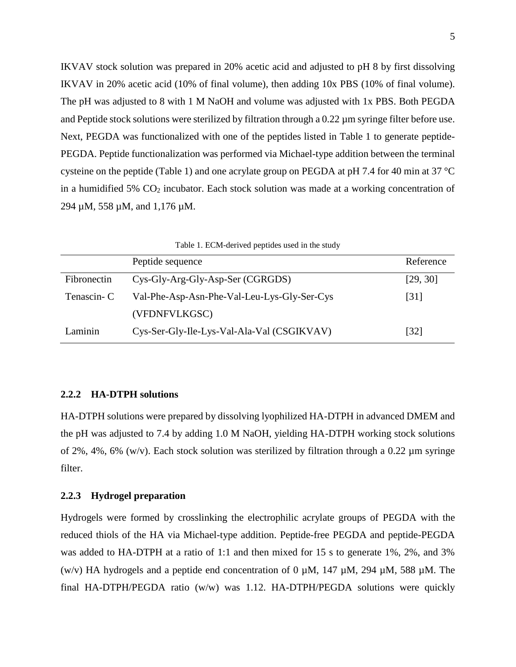IKVAV stock solution was prepared in 20% acetic acid and adjusted to pH 8 by first dissolving IKVAV in 20% acetic acid (10% of final volume), then adding 10x PBS (10% of final volume). The pH was adjusted to 8 with 1 M NaOH and volume was adjusted with 1x PBS. Both PEGDA and Peptide stock solutions were sterilized by filtration through a 0.22  $\mu$ m syringe filter before use. Next, PEGDA was functionalized with one of the peptides listed in Table 1 to generate peptide-PEGDA. Peptide functionalization was performed via Michael-type addition between the terminal cysteine on the peptide (Table 1) and one acrylate group on PEGDA at pH 7.4 for 40 min at 37 °C in a humidified 5%  $CO<sub>2</sub>$  incubator. Each stock solution was made at a working concentration of 294 µM, 558 µM, and 1,176 µM.

<span id="page-17-2"></span>

|             | Peptide sequence                            | Reference          |
|-------------|---------------------------------------------|--------------------|
| Fibronectin | Cys-Gly-Arg-Gly-Asp-Ser (CGRGDS)            | [29, 30]           |
| Tenascin-C  | Val-Phe-Asp-Asn-Phe-Val-Leu-Lys-Gly-Ser-Cys | $\lceil 31 \rceil$ |
|             | (VFDNFVLKGSC)                               |                    |
| Laminin     | Cys-Ser-Gly-Ile-Lys-Val-Ala-Val (CSGIKVAV)  | [32]               |

### <span id="page-17-0"></span>**2.2.2 HA-DTPH solutions**

HA-DTPH solutions were prepared by dissolving lyophilized HA-DTPH in advanced DMEM and the pH was adjusted to 7.4 by adding 1.0 M NaOH, yielding HA-DTPH working stock solutions of 2%, 4%, 6% (w/v). Each stock solution was sterilized by filtration through a 0.22  $\mu$ m syringe filter.

### <span id="page-17-1"></span>**2.2.3 Hydrogel preparation**

Hydrogels were formed by crosslinking the electrophilic acrylate groups of PEGDA with the reduced thiols of the HA via Michael-type addition. Peptide-free PEGDA and peptide-PEGDA was added to HA-DTPH at a ratio of 1:1 and then mixed for 15 s to generate 1%, 2%, and 3% (w/v) HA hydrogels and a peptide end concentration of 0  $\mu$ M, 147  $\mu$ M, 294  $\mu$ M, 588  $\mu$ M. The final HA-DTPH/PEGDA ratio (w/w) was 1.12. HA-DTPH/PEGDA solutions were quickly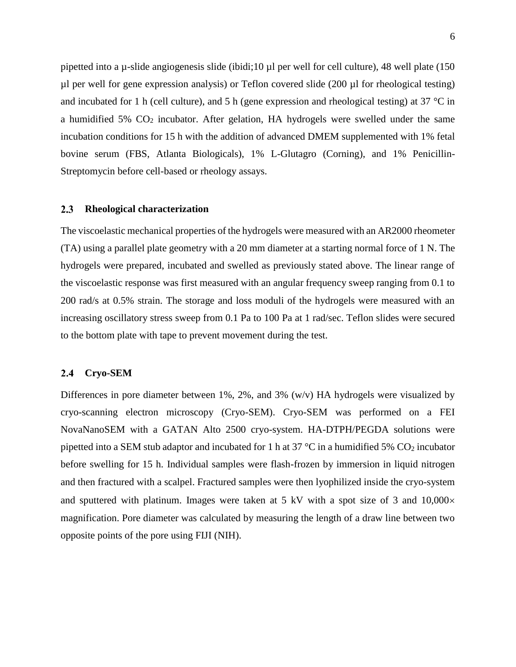pipetted into a  $\mu$ -slide angiogenesis slide (ibidi;10  $\mu$ l per well for cell culture), 48 well plate (150 µl per well for gene expression analysis) or Teflon covered slide (200 µl for rheological testing) and incubated for 1 h (cell culture), and 5 h (gene expression and rheological testing) at 37 °C in a humidified  $5\%$  CO<sub>2</sub> incubator. After gelation, HA hydrogels were swelled under the same incubation conditions for 15 h with the addition of advanced DMEM supplemented with 1% fetal bovine serum (FBS, Atlanta Biologicals), 1% L-Glutagro (Corning), and 1% Penicillin-Streptomycin before cell-based or rheology assays.

#### <span id="page-18-0"></span> $2.3$ **Rheological characterization**

The viscoelastic mechanical properties of the hydrogels were measured with an AR2000 rheometer (TA) using a parallel plate geometry with a 20 mm diameter at a starting normal force of 1 N. The hydrogels were prepared, incubated and swelled as previously stated above. The linear range of the viscoelastic response was first measured with an angular frequency sweep ranging from 0.1 to 200 rad/s at 0.5% strain. The storage and loss moduli of the hydrogels were measured with an increasing oscillatory stress sweep from 0.1 Pa to 100 Pa at 1 rad/sec. Teflon slides were secured to the bottom plate with tape to prevent movement during the test.

#### <span id="page-18-1"></span> $2.4$ **Cryo-SEM**

Differences in pore diameter between 1%, 2%, and 3% (w/v) HA hydrogels were visualized by cryo-scanning electron microscopy (Cryo-SEM). Cryo-SEM was performed on a FEI NovaNanoSEM with a GATAN Alto 2500 cryo-system. HA-DTPH/PEGDA solutions were pipetted into a SEM stub adaptor and incubated for 1 h at 37  $\degree$ C in a humidified 5% CO<sub>2</sub> incubator before swelling for 15 h. Individual samples were flash-frozen by immersion in liquid nitrogen and then fractured with a scalpel. Fractured samples were then lyophilized inside the cryo-system and sputtered with platinum. Images were taken at  $5 \text{ kV}$  with a spot size of  $3$  and  $10,000 \times$ magnification. Pore diameter was calculated by measuring the length of a draw line between two opposite points of the pore using FIJI (NIH).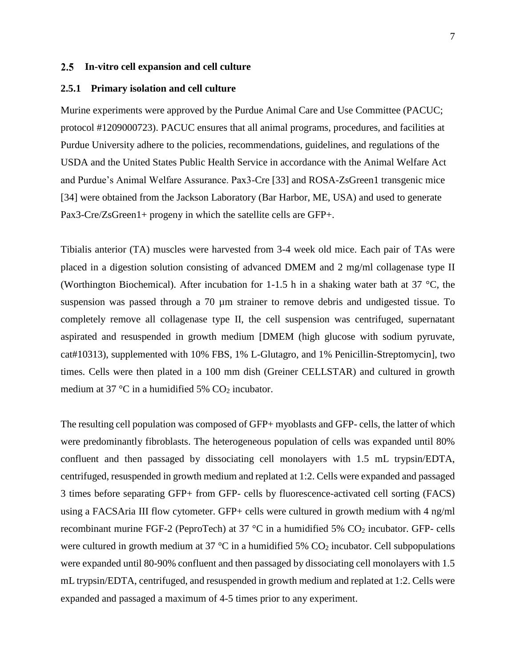### <span id="page-19-0"></span>**In-vitro cell expansion and cell culture**

### <span id="page-19-1"></span>**2.5.1 Primary isolation and cell culture**

Murine experiments were approved by the Purdue Animal Care and Use Committee (PACUC; protocol #1209000723). PACUC ensures that all animal programs, procedures, and facilities at Purdue University adhere to the policies, recommendations, guidelines, and regulations of the USDA and the United States Public Health Service in accordance with the Animal Welfare Act and Purdue's Animal Welfare Assurance. Pax3-Cre [33] and ROSA-ZsGreen1 transgenic mice [34] were obtained from the Jackson Laboratory (Bar Harbor, ME, USA) and used to generate Pax3-Cre/ZsGreen1+ progeny in which the satellite cells are GFP+.

Tibialis anterior (TA) muscles were harvested from 3-4 week old mice. Each pair of TAs were placed in a digestion solution consisting of advanced DMEM and 2 mg/ml collagenase type II (Worthington Biochemical). After incubation for 1-1.5 h in a shaking water bath at 37  $^{\circ}$ C, the suspension was passed through a 70  $\mu$ m strainer to remove debris and undigested tissue. To completely remove all collagenase type II, the cell suspension was centrifuged, supernatant aspirated and resuspended in growth medium [DMEM (high glucose with sodium pyruvate, cat#10313), supplemented with 10% FBS, 1% L-Glutagro, and 1% Penicillin-Streptomycin], two times. Cells were then plated in a 100 mm dish (Greiner CELLSTAR) and cultured in growth medium at 37 °C in a humidified 5%  $CO<sub>2</sub>$  incubator.

The resulting cell population was composed of GFP+ myoblasts and GFP- cells, the latter of which were predominantly fibroblasts. The heterogeneous population of cells was expanded until 80% confluent and then passaged by dissociating cell monolayers with 1.5 mL trypsin/EDTA, centrifuged, resuspended in growth medium and replated at 1:2. Cells were expanded and passaged 3 times before separating GFP+ from GFP- cells by fluorescence-activated cell sorting (FACS) using a FACSAria III flow cytometer. GFP+ cells were cultured in growth medium with 4 ng/ml recombinant murine FGF-2 (PeproTech) at 37  $^{\circ}$ C in a humidified 5% CO<sub>2</sub> incubator. GFP- cells were cultured in growth medium at 37  $\degree$ C in a humidified 5% CO<sub>2</sub> incubator. Cell subpopulations were expanded until 80-90% confluent and then passaged by dissociating cell monolayers with 1.5 mL trypsin/EDTA, centrifuged, and resuspended in growth medium and replated at 1:2. Cells were expanded and passaged a maximum of 4-5 times prior to any experiment.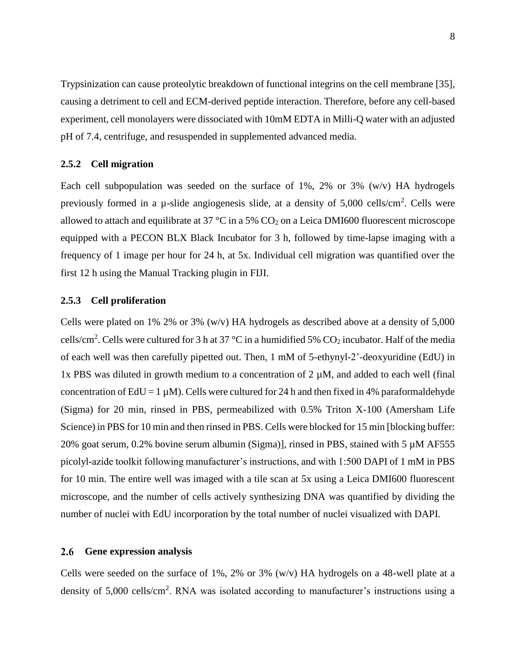Trypsinization can cause proteolytic breakdown of functional integrins on the cell membrane [35], causing a detriment to cell and ECM-derived peptide interaction. Therefore, before any cell-based experiment, cell monolayers were dissociated with 10mM EDTA in Milli-Q water with an adjusted pH of 7.4, centrifuge, and resuspended in supplemented advanced media.

### <span id="page-20-0"></span>**2.5.2 Cell migration**

Each cell subpopulation was seeded on the surface of 1%, 2% or 3%  $(w/v)$  HA hydrogels previously formed in a  $\mu$ -slide angiogenesis slide, at a density of 5,000 cells/cm<sup>2</sup>. Cells were allowed to attach and equilibrate at 37  $\degree$ C in a 5% CO<sub>2</sub> on a Leica DMI600 fluorescent microscope equipped with a PECON BLX Black Incubator for 3 h, followed by time-lapse imaging with a frequency of 1 image per hour for 24 h, at 5x. Individual cell migration was quantified over the first 12 h using the Manual Tracking plugin in FIJI.

### <span id="page-20-1"></span>**2.5.3 Cell proliferation**

Cells were plated on 1% 2% or 3% (w/v) HA hydrogels as described above at a density of  $5,000$ cells/cm<sup>2</sup>. Cells were cultured for 3 h at 37 °C in a humidified 5%  $CO_2$  incubator. Half of the media of each well was then carefully pipetted out. Then, 1 mM of 5-ethynyl-2'-deoxyuridine (EdU) in 1x PBS was diluted in growth medium to a concentration of  $2 \mu M$ , and added to each well (final concentration of EdU = 1  $\mu$ M). Cells were cultured for 24 h and then fixed in 4% paraformaldehyde (Sigma) for 20 min, rinsed in PBS, permeabilized with 0.5% Triton X-100 (Amersham Life Science) in PBS for 10 min and then rinsed in PBS. Cells were blocked for 15 min [blocking buffer: 20% goat serum, 0.2% bovine serum albumin (Sigma)], rinsed in PBS, stained with 5 µM AF555 picolyl-azide toolkit following manufacturer's instructions, and with 1:500 DAPI of 1 mM in PBS for 10 min. The entire well was imaged with a tile scan at 5x using a Leica DMI600 fluorescent microscope, and the number of cells actively synthesizing DNA was quantified by dividing the number of nuclei with EdU incorporation by the total number of nuclei visualized with DAPI.

#### <span id="page-20-2"></span>2.6 **Gene expression analysis**

Cells were seeded on the surface of  $1\%$ ,  $2\%$  or  $3\%$  (w/v) HA hydrogels on a 48-well plate at a density of 5,000 cells/cm<sup>2</sup>. RNA was isolated according to manufacturer's instructions using a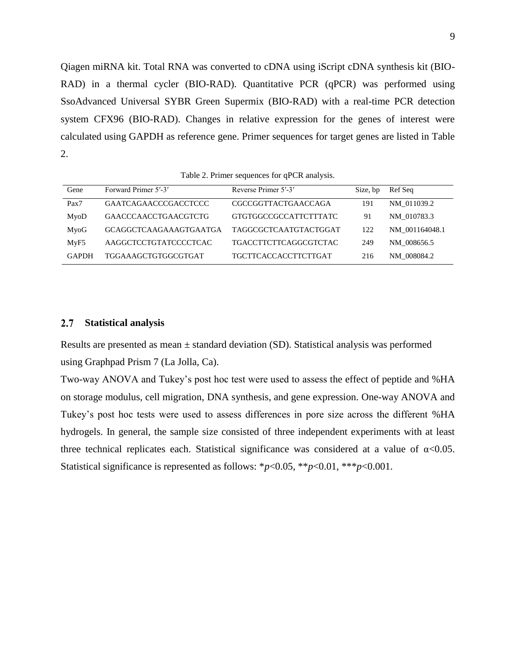Qiagen miRNA kit. Total RNA was converted to cDNA using iScript cDNA synthesis kit (BIO-RAD) in a thermal cycler (BIO-RAD). Quantitative PCR (qPCR) was performed using SsoAdvanced Universal SYBR Green Supermix (BIO-RAD) with a real-time PCR detection system CFX96 (BIO-RAD). Changes in relative expression for the genes of interest were calculated using GAPDH as reference gene. Primer sequences for target genes are listed in Table 2.

Table 2. Primer sequences for qPCR analysis.

<span id="page-21-1"></span>

| Gene             | Forward Primer 5'-3'          | Reverse Primer 5'-3'         | Size, bp | Ref Seq        |
|------------------|-------------------------------|------------------------------|----------|----------------|
| Pax7             | <b>GAATCAGAACCCGACCTCCC</b>   | CGCCGGTTACTGAACCAGA          | 191      | NM 011039.2    |
| MyoD             | <b>GAACCCAACCTGAACGTCTG</b>   | <b>GTGTGGCCGCCATTCTTTATC</b> | 91       | NM 010783.3    |
| MyoG             | <b>GCAGGCTCAAGAAAGTGAATGA</b> | <b>TAGGCGCTCAATGTACTGGAT</b> | 122      | NM 001164048.1 |
| MyF <sub>5</sub> | AAGGCTCCTGTATCCCCTCAC         | <b>TGACCTTCTTCAGGCGTCTAC</b> | 249      | NM 008656.5    |
| <b>GAPDH</b>     | TGGAAAGCTGTGGCGTGAT           | <b>TGCTTCACCACCTTCTTGAT</b>  | 216      | NM 008084.2    |

#### <span id="page-21-0"></span> $2.7$ **Statistical analysis**

Results are presented as mean  $\pm$  standard deviation (SD). Statistical analysis was performed using Graphpad Prism 7 (La Jolla, Ca).

Two-way ANOVA and Tukey's post hoc test were used to assess the effect of peptide and %HA on storage modulus, cell migration, DNA synthesis, and gene expression. One-way ANOVA and Tukey's post hoc tests were used to assess differences in pore size across the different %HA hydrogels. In general, the sample size consisted of three independent experiments with at least three technical replicates each. Statistical significance was considered at a value of  $\alpha$ <0.05. Statistical significance is represented as follows: \**p*<0.05, \*\**p*<0.01, \*\*\**p*<0.001.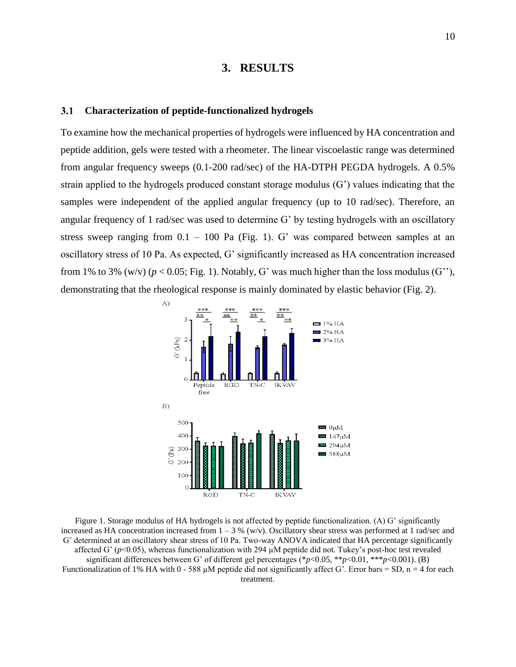### **3. RESULTS**

#### <span id="page-22-1"></span><span id="page-22-0"></span> $3.1$ **Characterization of peptide-functionalized hydrogels**

To examine how the mechanical properties of hydrogels were influenced by HA concentration and peptide addition, gels were tested with a rheometer. The linear viscoelastic range was determined from angular frequency sweeps (0.1-200 rad/sec) of the HA-DTPH PEGDA hydrogels. A 0.5% strain applied to the hydrogels produced constant storage modulus (G') values indicating that the samples were independent of the applied angular frequency (up to 10 rad/sec). Therefore, an angular frequency of 1 rad/sec was used to determine G' by testing hydrogels with an oscillatory stress sweep ranging from  $0.1 - 100$  Pa (Fig. 1). G' was compared between samples at an oscillatory stress of 10 Pa. As expected, G' significantly increased as HA concentration increased from 1% to 3% (w/v) ( $p < 0.05$ ; Fig. 1). Notably, G' was much higher than the loss modulus (G''), demonstrating that the rheological response is mainly dominated by elastic behavior (Fig. 2).



<span id="page-22-2"></span>Figure 1. Storage modulus of HA hydrogels is not affected by peptide functionalization. (A) G' significantly increased as HA concentration increased from  $1 - 3$  % (w/v). Oscillatory shear stress was performed at 1 rad/sec and G' determined at an oscillatory shear stress of 10 Pa. Two-way ANOVA indicated that HA percentage significantly affected G' ( $p$ <0.05), whereas functionalization with 294  $\mu$ M peptide did not. Tukey's post-hoc test revealed significant differences between G' of different gel percentages (\**p*<0.05, \*\**p*<0.01, \*\*\**p*<0.001). (B) Functionalization of 1% HA with 0 - 588  $\mu$ M peptide did not significantly affect G'. Error bars = SD, n = 4 for each treatment.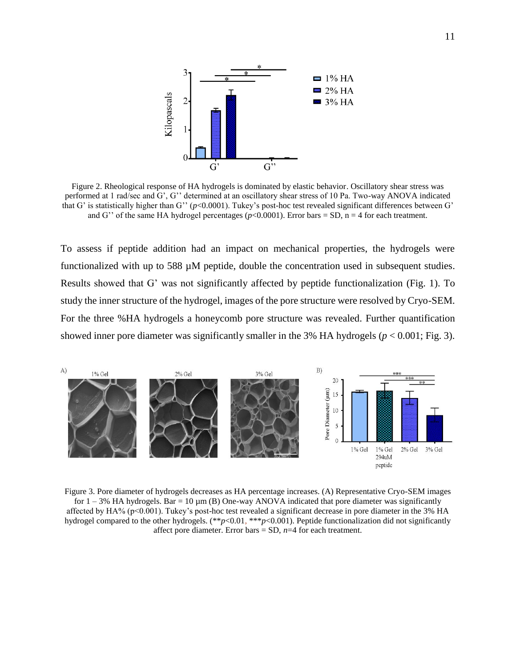

<span id="page-23-1"></span>Figure 2. Rheological response of HA hydrogels is dominated by elastic behavior. Oscillatory shear stress was performed at 1 rad/sec and G', G'' determined at an oscillatory shear stress of 10 Pa. Two-way ANOVA indicated that G' is statistically higher than G'' ( $p$ <0.0001). Tukey's post-hoc test revealed significant differences between G' and G'' of the same HA hydrogel percentages ( $p$ <0.0001). Error bars = SD,  $n = 4$  for each treatment.

To assess if peptide addition had an impact on mechanical properties, the hydrogels were functionalized with up to 588 µM peptide, double the concentration used in subsequent studies. Results showed that G' was not significantly affected by peptide functionalization (Fig. 1). To study the inner structure of the hydrogel, images of the pore structure were resolved by Cryo-SEM. For the three %HA hydrogels a honeycomb pore structure was revealed. Further quantification showed inner pore diameter was significantly smaller in the 3% HA hydrogels (*p* < 0.001; Fig. 3).

<span id="page-23-0"></span>

<span id="page-23-2"></span>Figure 3. Pore diameter of hydrogels decreases as HA percentage increases. (A) Representative Cryo-SEM images for  $1 - 3\%$  HA hydrogels. Bar = 10  $\mu$ m (B) One-way ANOVA indicated that pore diameter was significantly affected by HA% (p<0.001). Tukey's post-hoc test revealed a significant decrease in pore diameter in the 3% HA hydrogel compared to the other hydrogels. (\*\**p*<0.01, \*\*\**p*<0.001). Peptide functionalization did not significantly affect pore diameter. Error bars  $=$  SD,  $n=4$  for each treatment.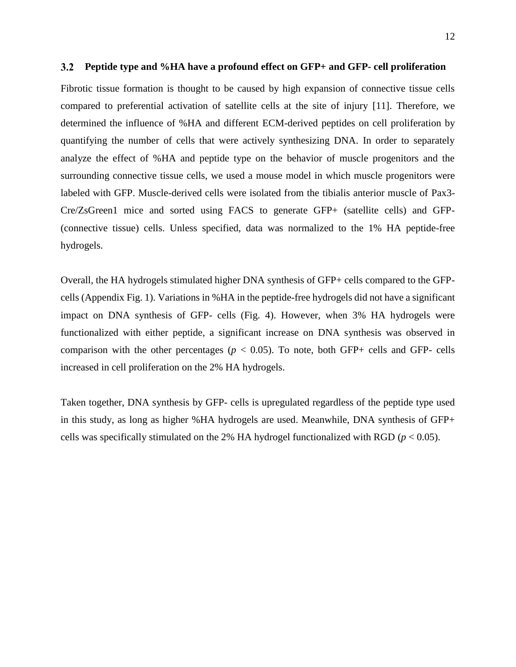#### <span id="page-24-0"></span> $3.2$ **Peptide type and %HA have a profound effect on GFP+ and GFP- cell proliferation**

Fibrotic tissue formation is thought to be caused by high expansion of connective tissue cells compared to preferential activation of satellite cells at the site of injury [11]. Therefore, we determined the influence of %HA and different ECM-derived peptides on cell proliferation by quantifying the number of cells that were actively synthesizing DNA. In order to separately analyze the effect of %HA and peptide type on the behavior of muscle progenitors and the surrounding connective tissue cells, we used a mouse model in which muscle progenitors were labeled with GFP. Muscle-derived cells were isolated from the tibialis anterior muscle of Pax3- Cre/ZsGreen1 mice and sorted using FACS to generate GFP+ (satellite cells) and GFP- (connective tissue) cells. Unless specified, data was normalized to the 1% HA peptide-free hydrogels.

Overall, the HA hydrogels stimulated higher DNA synthesis of GFP+ cells compared to the GFPcells (Appendix Fig. 1). Variations in %HA in the peptide-free hydrogels did not have a significant impact on DNA synthesis of GFP- cells (Fig. 4). However, when 3% HA hydrogels were functionalized with either peptide, a significant increase on DNA synthesis was observed in comparison with the other percentages ( $p < 0.05$ ). To note, both GFP+ cells and GFP- cells increased in cell proliferation on the 2% HA hydrogels.

Taken together, DNA synthesis by GFP- cells is upregulated regardless of the peptide type used in this study, as long as higher %HA hydrogels are used. Meanwhile, DNA synthesis of GFP+ cells was specifically stimulated on the 2% HA hydrogel functionalized with RGD ( $p < 0.05$ ).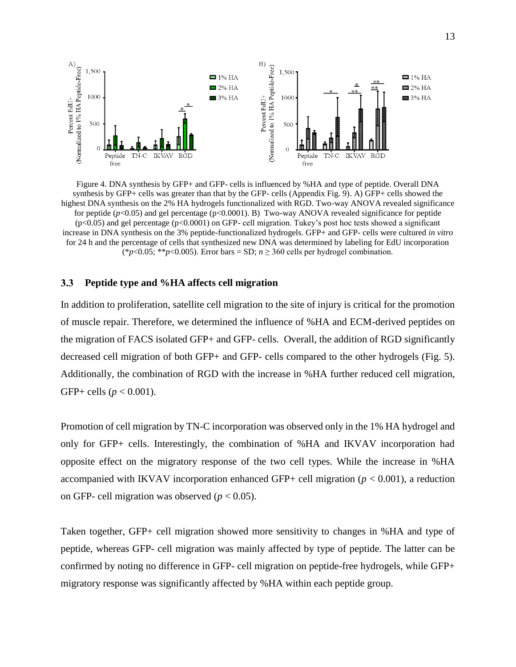

<span id="page-25-1"></span>Figure 4. DNA synthesis by GFP+ and GFP- cells is influenced by %HA and type of peptide. Overall DNA synthesis by GFP+ cells was greater than that by the GFP- cells (Appendix Fig. 9). A) GFP+ cells showed the highest DNA synthesis on the 2% HA hydrogels functionalized with RGD. Two-way ANOVA revealed significance for peptide  $(p<0.05)$  and gel percentage  $(p<0.0001)$ . B) Two-way ANOVA revealed significance for peptide (p<0.05) and gel percentage (p<0.0001) on GFP- cell migration. Tukey's post hoc tests showed a significant increase in DNA synthesis on the 3% peptide-functionalized hydrogels. GFP+ and GFP- cells were cultured *in vitro*  for 24 h and the percentage of cells that synthesized new DNA was determined by labeling for EdU incorporation (\* $p$ <0.05; \*\* $p$ <0.005). Error bars = SD;  $n \ge 360$  cells per hydrogel combination.

#### <span id="page-25-0"></span> $3.3$ **Peptide type and %HA affects cell migration**

In addition to proliferation, satellite cell migration to the site of injury is critical for the promotion of muscle repair. Therefore, we determined the influence of %HA and ECM-derived peptides on the migration of FACS isolated GFP+ and GFP- cells. Overall, the addition of RGD significantly decreased cell migration of both GFP+ and GFP- cells compared to the other hydrogels (Fig. 5). Additionally, the combination of RGD with the increase in %HA further reduced cell migration, GFP+ cells ( $p < 0.001$ ).

Promotion of cell migration by TN-C incorporation was observed only in the 1% HA hydrogel and only for GFP+ cells. Interestingly, the combination of %HA and IKVAV incorporation had opposite effect on the migratory response of the two cell types. While the increase in %HA accompanied with IKVAV incorporation enhanced GFP+ cell migration ( $p < 0.001$ ), a reduction on GFP- cell migration was observed ( $p < 0.05$ ).

Taken together, GFP+ cell migration showed more sensitivity to changes in %HA and type of peptide, whereas GFP- cell migration was mainly affected by type of peptide. The latter can be confirmed by noting no difference in GFP- cell migration on peptide-free hydrogels, while GFP+ migratory response was significantly affected by %HA within each peptide group.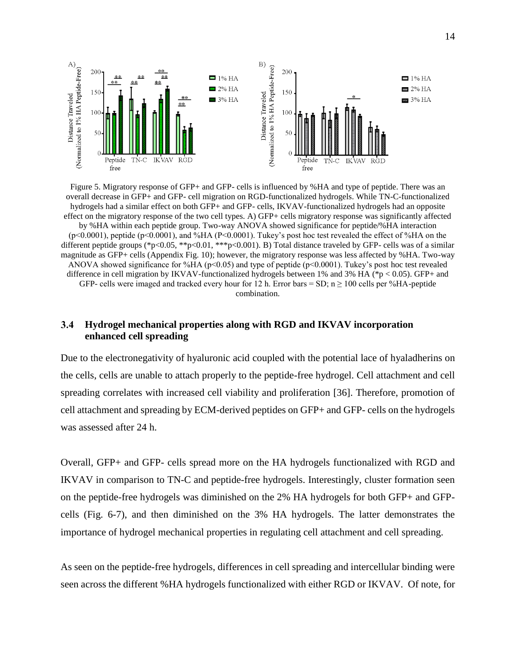

<span id="page-26-1"></span>Figure 5. Migratory response of GFP+ and GFP- cells is influenced by %HA and type of peptide. There was an overall decrease in GFP+ and GFP- cell migration on RGD-functionalized hydrogels. While TN-C-functionalized hydrogels had a similar effect on both GFP+ and GFP- cells, IKVAV-functionalized hydrogels had an opposite effect on the migratory response of the two cell types. A) GFP+ cells migratory response was significantly affected by %HA within each peptide group. Two-way ANOVA showed significance for peptide/%HA interaction (p<0.0001), peptide (p<0.0001), and %HA (P<0.0001). Tukey's post hoc test revealed the effect of %HA on the different peptide groups (\*p<0.05, \*\*p<0.01, \*\*\*p<0.001). B) Total distance traveled by GFP- cells was of a similar magnitude as GFP+ cells (Appendix Fig. 10); however, the migratory response was less affected by %HA. Two-way ANOVA showed significance for %HA (p<0.05) and type of peptide (p<0.0001). Tukey's post hoc test revealed difference in cell migration by IKVAV-functionalized hydrogels between 1% and 3% HA (\*p < 0.05). GFP+ and GFP- cells were imaged and tracked every hour for 12 h. Error bars = SD;  $n \ge 100$  cells per %HA-peptide combination.

#### <span id="page-26-0"></span> $3.4$ **Hydrogel mechanical properties along with RGD and IKVAV incorporation enhanced cell spreading**

Due to the electronegativity of hyaluronic acid coupled with the potential lace of hyaladherins on the cells, cells are unable to attach properly to the peptide-free hydrogel. Cell attachment and cell spreading correlates with increased cell viability and proliferation [36]. Therefore, promotion of cell attachment and spreading by ECM-derived peptides on GFP+ and GFP- cells on the hydrogels was assessed after 24 h.

Overall, GFP+ and GFP- cells spread more on the HA hydrogels functionalized with RGD and IKVAV in comparison to TN-C and peptide-free hydrogels. Interestingly, cluster formation seen on the peptide-free hydrogels was diminished on the 2% HA hydrogels for both GFP+ and GFPcells (Fig. 6-7), and then diminished on the 3% HA hydrogels. The latter demonstrates the importance of hydrogel mechanical properties in regulating cell attachment and cell spreading.

As seen on the peptide-free hydrogels, differences in cell spreading and intercellular binding were seen across the different %HA hydrogels functionalized with either RGD or IKVAV. Of note, for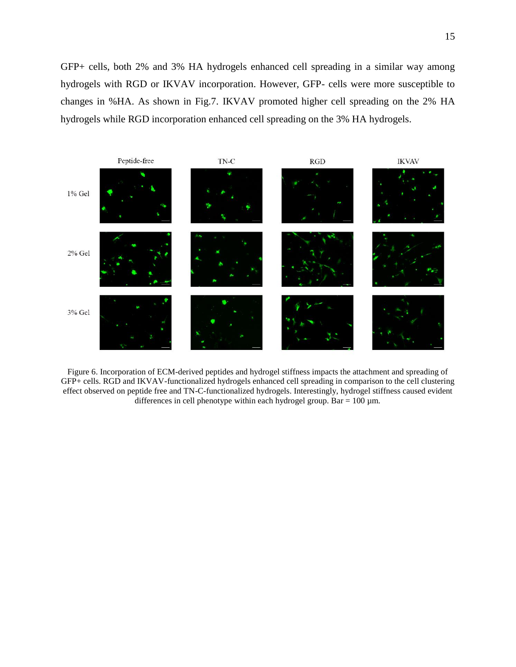GFP+ cells, both 2% and 3% HA hydrogels enhanced cell spreading in a similar way among hydrogels with RGD or IKVAV incorporation. However, GFP- cells were more susceptible to changes in %HA. As shown in Fig.7. IKVAV promoted higher cell spreading on the 2% HA hydrogels while RGD incorporation enhanced cell spreading on the 3% HA hydrogels.



<span id="page-27-0"></span>Figure 6. Incorporation of ECM-derived peptides and hydrogel stiffness impacts the attachment and spreading of GFP+ cells. RGD and IKVAV-functionalized hydrogels enhanced cell spreading in comparison to the cell clustering effect observed on peptide free and TN-C-functionalized hydrogels. Interestingly, hydrogel stiffness caused evident differences in cell phenotype within each hydrogel group. Bar =  $100 \mu$ m.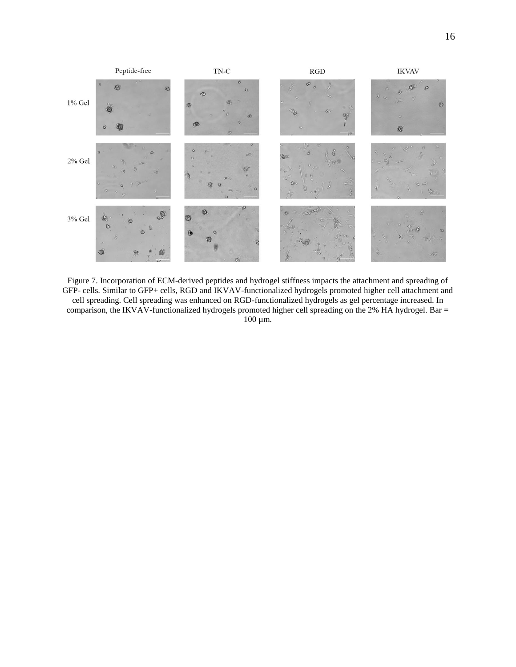

<span id="page-28-0"></span>Figure 7. Incorporation of ECM-derived peptides and hydrogel stiffness impacts the attachment and spreading of GFP- cells. Similar to GFP+ cells, RGD and IKVAV-functionalized hydrogels promoted higher cell attachment and cell spreading. Cell spreading was enhanced on RGD-functionalized hydrogels as gel percentage increased. In comparison, the IKVAV-functionalized hydrogels promoted higher cell spreading on the 2% HA hydrogel. Bar = 100 µm.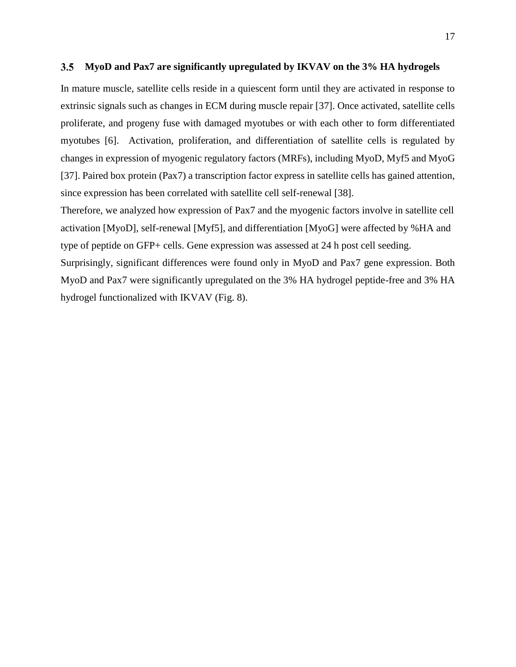#### <span id="page-29-0"></span> $3.5$ **MyoD and Pax7 are significantly upregulated by IKVAV on the 3% HA hydrogels**

In mature muscle, satellite cells reside in a quiescent form until they are activated in response to extrinsic signals such as changes in ECM during muscle repair [37]. Once activated, satellite cells proliferate, and progeny fuse with damaged myotubes or with each other to form differentiated myotubes [6]. Activation, proliferation, and differentiation of satellite cells is regulated by changes in expression of myogenic regulatory factors (MRFs), including MyoD, Myf5 and MyoG [37]. Paired box protein (Pax7) a transcription factor express in satellite cells has gained attention, since expression has been correlated with satellite cell self-renewal [38].

Therefore, we analyzed how expression of Pax7 and the myogenic factors involve in satellite cell activation [MyoD], self-renewal [Myf5], and differentiation [MyoG] were affected by %HA and type of peptide on GFP+ cells. Gene expression was assessed at 24 h post cell seeding.

Surprisingly, significant differences were found only in MyoD and Pax7 gene expression. Both MyoD and Pax7 were significantly upregulated on the 3% HA hydrogel peptide-free and 3% HA hydrogel functionalized with IKVAV (Fig. 8).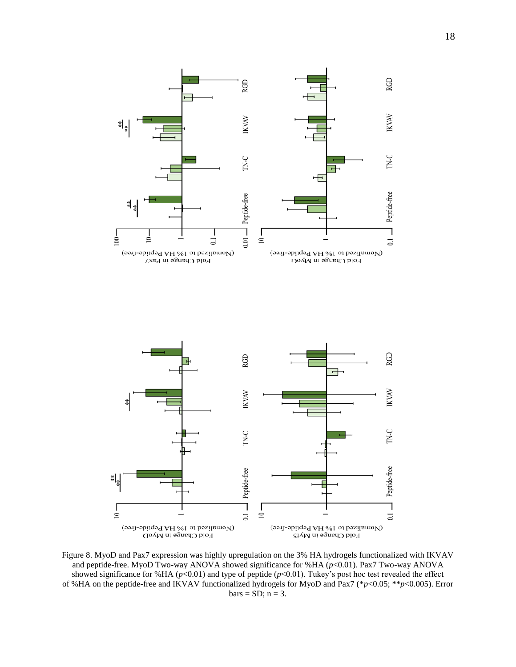

<span id="page-30-0"></span>Figure 8. MyoD and Pax7 expression was highly upregulation on the 3% HA hydrogels functionalized with IKVAV and peptide-free. MyoD Two-way ANOVA showed significance for %HA ( $p$ <0.01). Pax7 Two-way ANOVA showed significance for %HA ( $p$ <0.01) and type of peptide ( $p$ <0.01). Tukey's post hoc test revealed the effect of %HA on the peptide-free and IKVAV functionalized hydrogels for MyoD and Pax7 (\**p*<0.05; \*\**p*<0.005). Error  $bars = SD; n = 3.$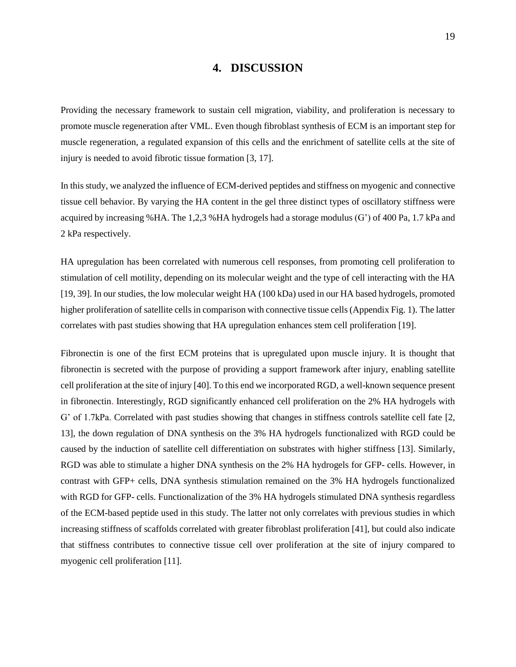### **4. DISCUSSION**

<span id="page-31-0"></span>Providing the necessary framework to sustain cell migration, viability, and proliferation is necessary to promote muscle regeneration after VML. Even though fibroblast synthesis of ECM is an important step for muscle regeneration, a regulated expansion of this cells and the enrichment of satellite cells at the site of injury is needed to avoid fibrotic tissue formation [3, 17].

In this study, we analyzed the influence of ECM-derived peptides and stiffness on myogenic and connective tissue cell behavior. By varying the HA content in the gel three distinct types of oscillatory stiffness were acquired by increasing %HA. The 1,2,3 %HA hydrogels had a storage modulus (G') of 400 Pa, 1.7 kPa and 2 kPa respectively.

HA upregulation has been correlated with numerous cell responses, from promoting cell proliferation to stimulation of cell motility, depending on its molecular weight and the type of cell interacting with the HA [19, 39]. In our studies, the low molecular weight HA (100 kDa) used in our HA based hydrogels, promoted higher proliferation of satellite cells in comparison with connective tissue cells (Appendix Fig. 1). The latter correlates with past studies showing that HA upregulation enhances stem cell proliferation [19].

Fibronectin is one of the first ECM proteins that is upregulated upon muscle injury. It is thought that fibronectin is secreted with the purpose of providing a support framework after injury, enabling satellite cell proliferation at the site of injury [40]. To this end we incorporated RGD, a well-known sequence present in fibronectin. Interestingly, RGD significantly enhanced cell proliferation on the 2% HA hydrogels with G' of 1.7kPa. Correlated with past studies showing that changes in stiffness controls satellite cell fate [2, 13], the down regulation of DNA synthesis on the 3% HA hydrogels functionalized with RGD could be caused by the induction of satellite cell differentiation on substrates with higher stiffness [13]. Similarly, RGD was able to stimulate a higher DNA synthesis on the 2% HA hydrogels for GFP- cells. However, in contrast with GFP+ cells, DNA synthesis stimulation remained on the 3% HA hydrogels functionalized with RGD for GFP- cells. Functionalization of the 3% HA hydrogels stimulated DNA synthesis regardless of the ECM-based peptide used in this study. The latter not only correlates with previous studies in which increasing stiffness of scaffolds correlated with greater fibroblast proliferation [41], but could also indicate that stiffness contributes to connective tissue cell over proliferation at the site of injury compared to myogenic cell proliferation [11].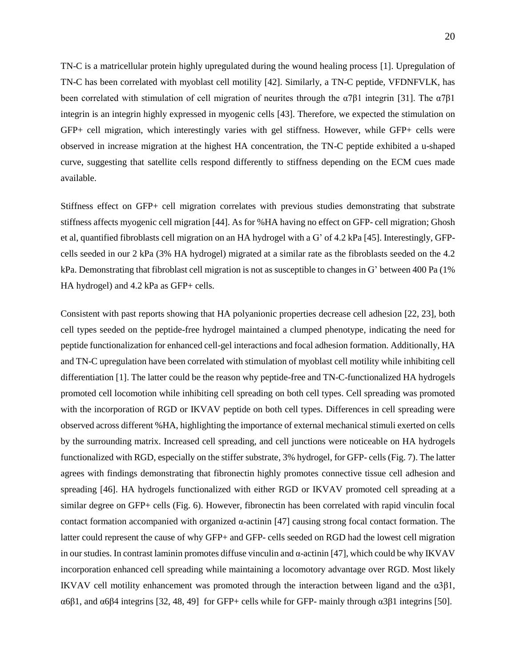TN-C is a matricellular protein highly upregulated during the wound healing process [1]. Upregulation of TN-C has been correlated with myoblast cell motility [42]. Similarly, a TN-C peptide, VFDNFVLK, has been correlated with stimulation of cell migration of neurites through the  $\alpha$ 7β1 integrin [31]. The  $\alpha$ 7β1 integrin is an integrin highly expressed in myogenic cells [43]. Therefore, we expected the stimulation on GFP+ cell migration, which interestingly varies with gel stiffness. However, while GFP+ cells were observed in increase migration at the highest HA concentration, the TN-C peptide exhibited a u-shaped curve, suggesting that satellite cells respond differently to stiffness depending on the ECM cues made available.

Stiffness effect on GFP+ cell migration correlates with previous studies demonstrating that substrate stiffness affects myogenic cell migration [44]. As for %HA having no effect on GFP- cell migration; Ghosh et al, quantified fibroblasts cell migration on an HA hydrogel with a G' of 4.2 kPa [45]. Interestingly, GFPcells seeded in our 2 kPa (3% HA hydrogel) migrated at a similar rate as the fibroblasts seeded on the 4.2 kPa. Demonstrating that fibroblast cell migration is not as susceptible to changes in G' between 400 Pa (1% HA hydrogel) and 4.2 kPa as GFP+ cells.

Consistent with past reports showing that HA polyanionic properties decrease cell adhesion [22, 23], both cell types seeded on the peptide-free hydrogel maintained a clumped phenotype, indicating the need for peptide functionalization for enhanced cell-gel interactions and focal adhesion formation. Additionally, HA and TN-C upregulation have been correlated with stimulation of myoblast cell motility while inhibiting cell differentiation [1]. The latter could be the reason why peptide-free and TN-C-functionalized HA hydrogels promoted cell locomotion while inhibiting cell spreading on both cell types. Cell spreading was promoted with the incorporation of RGD or IKVAV peptide on both cell types. Differences in cell spreading were observed across different %HA, highlighting the importance of external mechanical stimuli exerted on cells by the surrounding matrix. Increased cell spreading, and cell junctions were noticeable on HA hydrogels functionalized with RGD, especially on the stiffer substrate, 3% hydrogel, for GFP- cells (Fig. 7). The latter agrees with findings demonstrating that fibronectin highly promotes connective tissue cell adhesion and spreading [46]. HA hydrogels functionalized with either RGD or IKVAV promoted cell spreading at a similar degree on GFP+ cells (Fig. 6). However, fibronectin has been correlated with rapid vinculin focal contact formation accompanied with organized α-actinin [47] causing strong focal contact formation. The latter could represent the cause of why GFP+ and GFP- cells seeded on RGD had the lowest cell migration in our studies. In contrast laminin promotes diffuse vinculin and α-actinin [47], which could be why IKVAV incorporation enhanced cell spreading while maintaining a locomotory advantage over RGD. Most likely IKVAV cell motility enhancement was promoted through the interaction between ligand and the α3β1, α6β1, and α6β4 integrins [32, 48, 49] for GFP+ cells while for GFP- mainly through α3β1 integrins [50].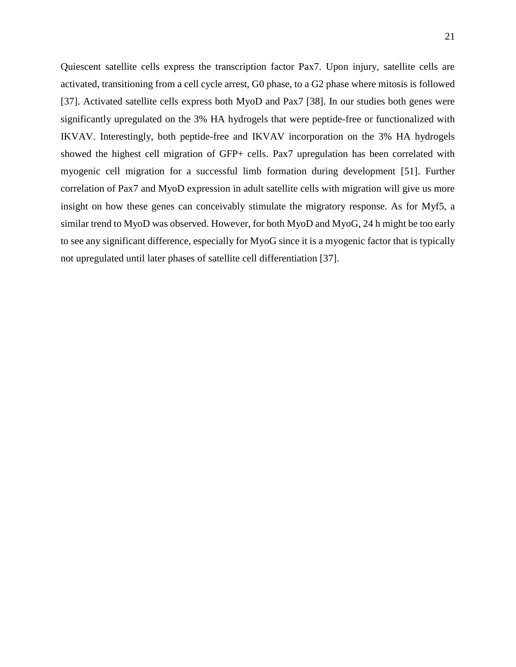Quiescent satellite cells express the transcription factor Pax7. Upon injury, satellite cells are activated, transitioning from a cell cycle arrest, G0 phase, to a G2 phase where mitosis is followed [37]. Activated satellite cells express both MyoD and Pax7 [38]. In our studies both genes were significantly upregulated on the 3% HA hydrogels that were peptide-free or functionalized with IKVAV. Interestingly, both peptide-free and IKVAV incorporation on the 3% HA hydrogels showed the highest cell migration of GFP+ cells. Pax7 upregulation has been correlated with myogenic cell migration for a successful limb formation during development [51]. Further correlation of Pax7 and MyoD expression in adult satellite cells with migration will give us more insight on how these genes can conceivably stimulate the migratory response. As for Myf5, a similar trend to MyoD was observed. However, for both MyoD and MyoG, 24 h might be too early to see any significant difference, especially for MyoG since it is a myogenic factor that is typically not upregulated until later phases of satellite cell differentiation [37].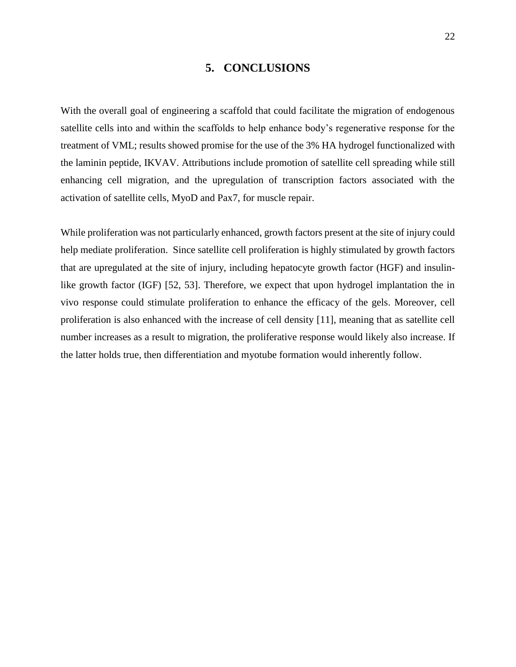### **5. CONCLUSIONS**

<span id="page-34-0"></span>With the overall goal of engineering a scaffold that could facilitate the migration of endogenous satellite cells into and within the scaffolds to help enhance body's regenerative response for the treatment of VML; results showed promise for the use of the 3% HA hydrogel functionalized with the laminin peptide, IKVAV. Attributions include promotion of satellite cell spreading while still enhancing cell migration, and the upregulation of transcription factors associated with the activation of satellite cells, MyoD and Pax7, for muscle repair.

While proliferation was not particularly enhanced, growth factors present at the site of injury could help mediate proliferation. Since satellite cell proliferation is highly stimulated by growth factors that are upregulated at the site of injury, including hepatocyte growth factor (HGF) and insulinlike growth factor (IGF) [52, 53]. Therefore, we expect that upon hydrogel implantation the in vivo response could stimulate proliferation to enhance the efficacy of the gels. Moreover, cell proliferation is also enhanced with the increase of cell density [11], meaning that as satellite cell number increases as a result to migration, the proliferative response would likely also increase. If the latter holds true, then differentiation and myotube formation would inherently follow.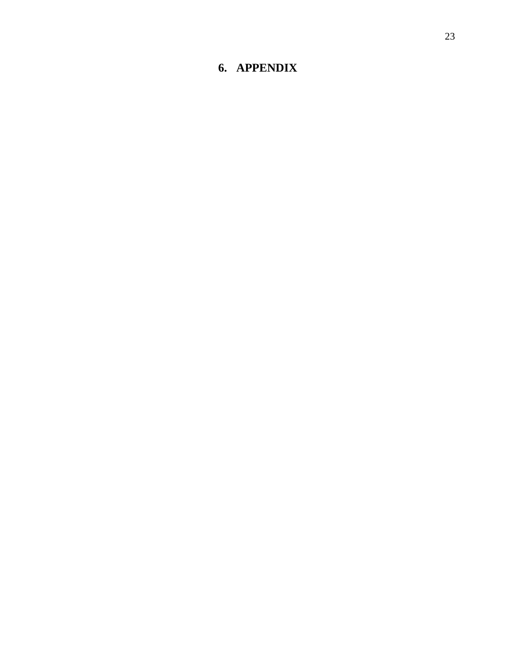### <span id="page-35-0"></span>**6. APPENDI X**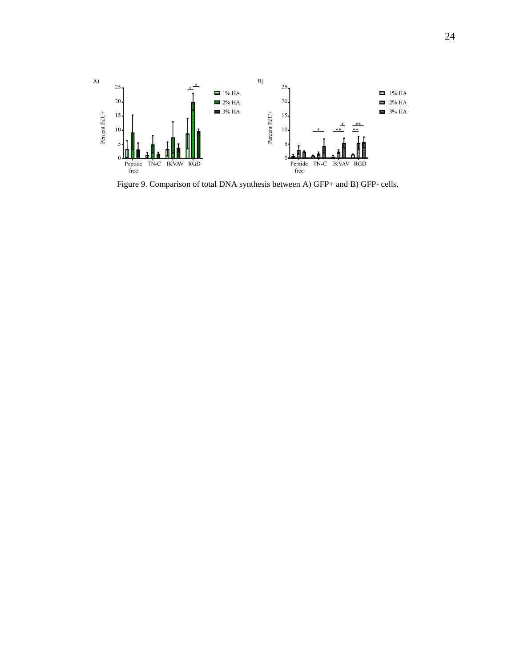

<span id="page-36-0"></span>Figure 9. Comparison of total DNA synthesis between A) GFP+ and B) GFP- cells.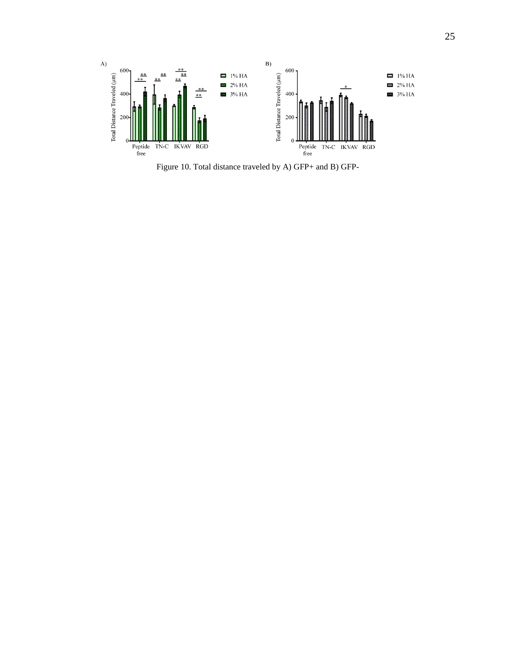

<span id="page-37-0"></span>Figure 10. Total distance traveled by A) GFP+ and B) GFP-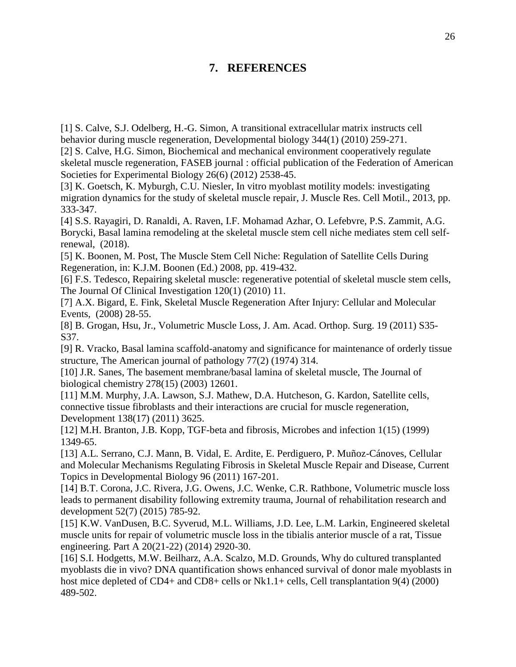## **7. REFERENCES**

<span id="page-38-0"></span>[1] S. Calve, S.J. Odelberg, H.-G. Simon, A transitional extracellular matrix instructs cell behavior during muscle regeneration, Developmental biology 344(1) (2010) 259-271.

[2] S. Calve, H.G. Simon, Biochemical and mechanical environment cooperatively regulate skeletal muscle regeneration, FASEB journal : official publication of the Federation of American Societies for Experimental Biology 26(6) (2012) 2538-45.

[3] K. Goetsch, K. Myburgh, C.U. Niesler, In vitro myoblast motility models: investigating migration dynamics for the study of skeletal muscle repair, J. Muscle Res. Cell Motil., 2013, pp. 333-347.

[4] S.S. Rayagiri, D. Ranaldi, A. Raven, I.F. Mohamad Azhar, O. Lefebvre, P.S. Zammit, A.G. Borycki, Basal lamina remodeling at the skeletal muscle stem cell niche mediates stem cell selfrenewal, (2018).

[5] K. Boonen, M. Post, The Muscle Stem Cell Niche: Regulation of Satellite Cells During Regeneration, in: K.J.M. Boonen (Ed.) 2008, pp. 419-432.

[6] F.S. Tedesco, Repairing skeletal muscle: regenerative potential of skeletal muscle stem cells, The Journal Of Clinical Investigation 120(1) (2010) 11.

[7] A.X. Bigard, E. Fink, Skeletal Muscle Regeneration After Injury: Cellular and Molecular Events, (2008) 28-55.

[8] B. Grogan, Hsu, Jr., Volumetric Muscle Loss, J. Am. Acad. Orthop. Surg. 19 (2011) S35- S37.

[9] R. Vracko, Basal lamina scaffold-anatomy and significance for maintenance of orderly tissue structure, The American journal of pathology 77(2) (1974) 314.

[10] J.R. Sanes, The basement membrane/basal lamina of skeletal muscle, The Journal of biological chemistry 278(15) (2003) 12601.

[11] M.M. Murphy, J.A. Lawson, S.J. Mathew, D.A. Hutcheson, G. Kardon, Satellite cells, connective tissue fibroblasts and their interactions are crucial for muscle regeneration, Development 138(17) (2011) 3625.

[12] M.H. Branton, J.B. Kopp, TGF-beta and fibrosis, Microbes and infection 1(15) (1999) 1349-65.

[13] A.L. Serrano, C.J. Mann, B. Vidal, E. Ardite, E. Perdiguero, P. Muñoz-Cánoves, Cellular and Molecular Mechanisms Regulating Fibrosis in Skeletal Muscle Repair and Disease, Current Topics in Developmental Biology 96 (2011) 167-201.

[14] B.T. Corona, J.C. Rivera, J.G. Owens, J.C. Wenke, C.R. Rathbone, Volumetric muscle loss leads to permanent disability following extremity trauma, Journal of rehabilitation research and development 52(7) (2015) 785-92.

[15] K.W. VanDusen, B.C. Syverud, M.L. Williams, J.D. Lee, L.M. Larkin, Engineered skeletal muscle units for repair of volumetric muscle loss in the tibialis anterior muscle of a rat, Tissue engineering. Part A 20(21-22) (2014) 2920-30.

[16] S.I. Hodgetts, M.W. Beilharz, A.A. Scalzo, M.D. Grounds, Why do cultured transplanted myoblasts die in vivo? DNA quantification shows enhanced survival of donor male myoblasts in host mice depleted of CD4+ and CD8+ cells or Nk1.1+ cells, Cell transplantation 9(4) (2000) 489-502.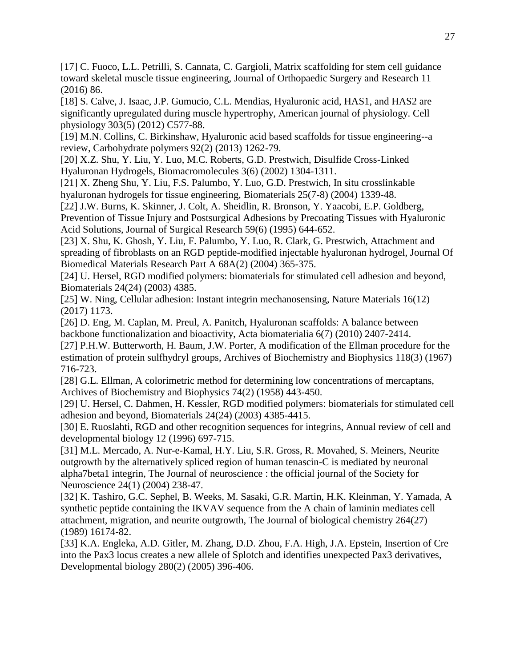[17] C. Fuoco, L.L. Petrilli, S. Cannata, C. Gargioli, Matrix scaffolding for stem cell guidance toward skeletal muscle tissue engineering, Journal of Orthopaedic Surgery and Research 11 (2016) 86.

[18] S. Calve, J. Isaac, J.P. Gumucio, C.L. Mendias, Hyaluronic acid, HAS1, and HAS2 are significantly upregulated during muscle hypertrophy, American journal of physiology. Cell physiology 303(5) (2012) C577-88.

[19] M.N. Collins, C. Birkinshaw, Hyaluronic acid based scaffolds for tissue engineering--a review, Carbohydrate polymers 92(2) (2013) 1262-79.

[20] X.Z. Shu, Y. Liu, Y. Luo, M.C. Roberts, G.D. Prestwich, Disulfide Cross-Linked Hyaluronan Hydrogels, Biomacromolecules 3(6) (2002) 1304-1311.

[21] X. Zheng Shu, Y. Liu, F.S. Palumbo, Y. Luo, G.D. Prestwich, In situ crosslinkable hyaluronan hydrogels for tissue engineering, Biomaterials 25(7-8) (2004) 1339-48.

[22] J.W. Burns, K. Skinner, J. Colt, A. Sheidlin, R. Bronson, Y. Yaacobi, E.P. Goldberg, Prevention of Tissue Injury and Postsurgical Adhesions by Precoating Tissues with Hyaluronic Acid Solutions, Journal of Surgical Research 59(6) (1995) 644-652.

[23] X. Shu, K. Ghosh, Y. Liu, F. Palumbo, Y. Luo, R. Clark, G. Prestwich, Attachment and spreading of fibroblasts on an RGD peptide-modified injectable hyaluronan hydrogel, Journal Of Biomedical Materials Research Part A 68A(2) (2004) 365-375.

[24] U. Hersel, RGD modified polymers: biomaterials for stimulated cell adhesion and beyond, Biomaterials 24(24) (2003) 4385.

[25] W. Ning, Cellular adhesion: Instant integrin mechanosensing, Nature Materials 16(12) (2017) 1173.

[26] D. Eng, M. Caplan, M. Preul, A. Panitch, Hyaluronan scaffolds: A balance between backbone functionalization and bioactivity, Acta biomaterialia 6(7) (2010) 2407-2414.

[27] P.H.W. Butterworth, H. Baum, J.W. Porter, A modification of the Ellman procedure for the estimation of protein sulfhydryl groups, Archives of Biochemistry and Biophysics 118(3) (1967) 716-723.

[28] G.L. Ellman, A colorimetric method for determining low concentrations of mercaptans, Archives of Biochemistry and Biophysics 74(2) (1958) 443-450.

[29] U. Hersel, C. Dahmen, H. Kessler, RGD modified polymers: biomaterials for stimulated cell adhesion and beyond, Biomaterials 24(24) (2003) 4385-4415.

[30] E. Ruoslahti, RGD and other recognition sequences for integrins, Annual review of cell and developmental biology 12 (1996) 697-715.

[31] M.L. Mercado, A. Nur-e-Kamal, H.Y. Liu, S.R. Gross, R. Movahed, S. Meiners, Neurite outgrowth by the alternatively spliced region of human tenascin-C is mediated by neuronal alpha7beta1 integrin, The Journal of neuroscience : the official journal of the Society for Neuroscience 24(1) (2004) 238-47.

[32] K. Tashiro, G.C. Sephel, B. Weeks, M. Sasaki, G.R. Martin, H.K. Kleinman, Y. Yamada, A synthetic peptide containing the IKVAV sequence from the A chain of laminin mediates cell attachment, migration, and neurite outgrowth, The Journal of biological chemistry 264(27) (1989) 16174-82.

[33] K.A. Engleka, A.D. Gitler, M. Zhang, D.D. Zhou, F.A. High, J.A. Epstein, Insertion of Cre into the Pax3 locus creates a new allele of Splotch and identifies unexpected Pax3 derivatives, Developmental biology 280(2) (2005) 396-406.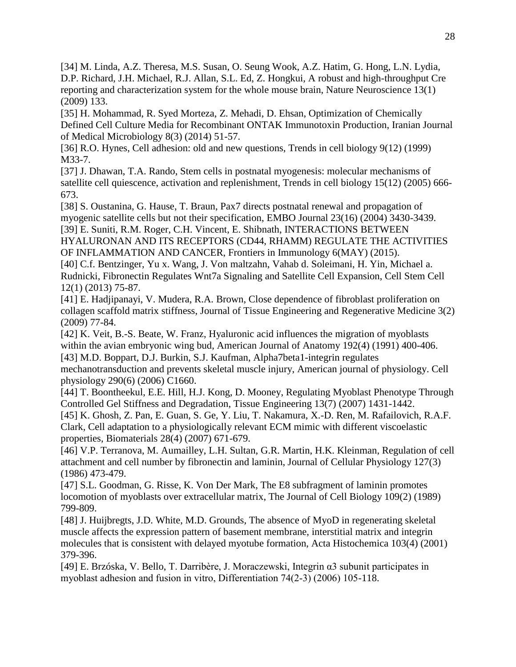[34] M. Linda, A.Z. Theresa, M.S. Susan, O. Seung Wook, A.Z. Hatim, G. Hong, L.N. Lydia, D.P. Richard, J.H. Michael, R.J. Allan, S.L. Ed, Z. Hongkui, A robust and high-throughput Cre reporting and characterization system for the whole mouse brain, Nature Neuroscience 13(1) (2009) 133.

[35] H. Mohammad, R. Syed Morteza, Z. Mehadi, D. Ehsan, Optimization of Chemically Defined Cell Culture Media for Recombinant ONTAK Immunotoxin Production, Iranian Journal of Medical Microbiology 8(3) (2014) 51-57.

[36] R.O. Hynes, Cell adhesion: old and new questions, Trends in cell biology 9(12) (1999) M33-7.

[37] J. Dhawan, T.A. Rando, Stem cells in postnatal myogenesis: molecular mechanisms of satellite cell quiescence, activation and replenishment, Trends in cell biology 15(12) (2005) 666- 673.

[38] S. Oustanina, G. Hause, T. Braun, Pax7 directs postnatal renewal and propagation of myogenic satellite cells but not their specification, EMBO Journal 23(16) (2004) 3430-3439. [39] E. Suniti, R.M. Roger, C.H. Vincent, E. Shibnath, INTERACTIONS BETWEEN HYALURONAN AND ITS RECEPTORS (CD44, RHAMM) REGULATE THE ACTIVITIES OF INFLAMMATION AND CANCER, Frontiers in Immunology 6(MAY) (2015).

[40] C.f. Bentzinger, Yu x. Wang, J. Von maltzahn, Vahab d. Soleimani, H. Yin, Michael a. Rudnicki, Fibronectin Regulates Wnt7a Signaling and Satellite Cell Expansion, Cell Stem Cell 12(1) (2013) 75-87.

[41] E. Hadjipanayi, V. Mudera, R.A. Brown, Close dependence of fibroblast proliferation on collagen scaffold matrix stiffness, Journal of Tissue Engineering and Regenerative Medicine 3(2) (2009) 77-84.

[42] K. Veit, B.-S. Beate, W. Franz, Hyaluronic acid influences the migration of myoblasts within the avian embryonic wing bud, American Journal of Anatomy 192(4) (1991) 400-406. [43] M.D. Boppart, D.J. Burkin, S.J. Kaufman, Alpha7beta1-integrin regulates

mechanotransduction and prevents skeletal muscle injury, American journal of physiology. Cell physiology 290(6) (2006) C1660.

[44] T. Boontheekul, E.E. Hill, H.J. Kong, D. Mooney, Regulating Myoblast Phenotype Through Controlled Gel Stiffness and Degradation, Tissue Engineering 13(7) (2007) 1431-1442.

[45] K. Ghosh, Z. Pan, E. Guan, S. Ge, Y. Liu, T. Nakamura, X.-D. Ren, M. Rafailovich, R.A.F. Clark, Cell adaptation to a physiologically relevant ECM mimic with different viscoelastic properties, Biomaterials 28(4) (2007) 671-679.

[46] V.P. Terranova, M. Aumailley, L.H. Sultan, G.R. Martin, H.K. Kleinman, Regulation of cell attachment and cell number by fibronectin and laminin, Journal of Cellular Physiology 127(3) (1986) 473-479.

[47] S.L. Goodman, G. Risse, K. Von Der Mark, The E8 subfragment of laminin promotes locomotion of myoblasts over extracellular matrix, The Journal of Cell Biology 109(2) (1989) 799-809.

[48] J. Huijbregts, J.D. White, M.D. Grounds, The absence of MyoD in regenerating skeletal muscle affects the expression pattern of basement membrane, interstitial matrix and integrin molecules that is consistent with delayed myotube formation, Acta Histochemica 103(4) (2001) 379-396.

[49] E. Brzóska, V. Bello, T. Darribère, J. Moraczewski, Integrin α3 subunit participates in myoblast adhesion and fusion in vitro, Differentiation 74(2‐3) (2006) 105-118.